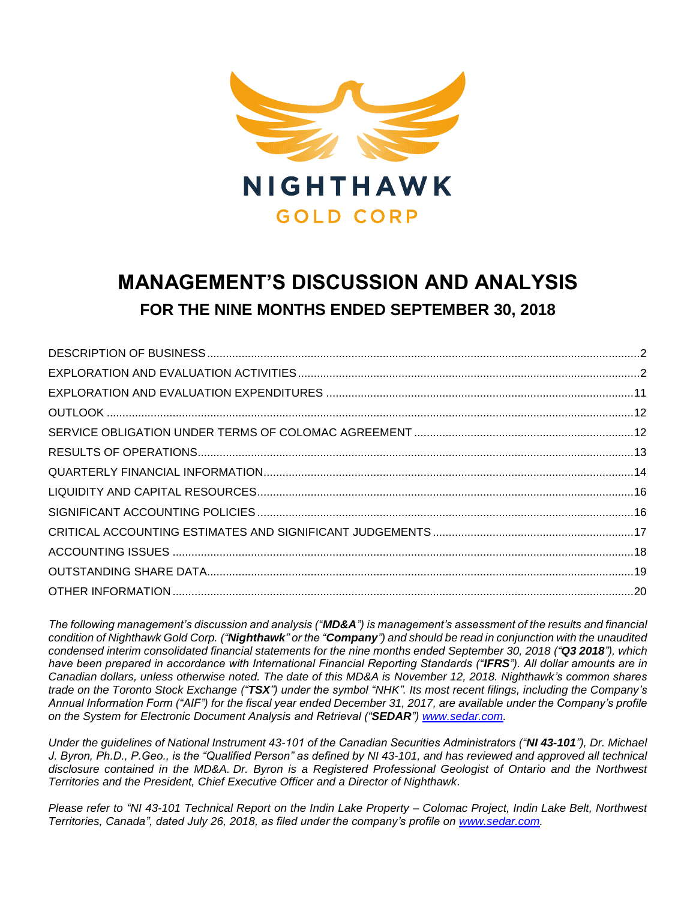

# **MANAGEMENT'S DISCUSSION AND ANALYSIS FOR THE NINE MONTHS ENDED SEPTEMBER 30, 2018**

*The following management's discussion and analysis ("MD&A") is management's assessment of the results and financial condition of Nighthawk Gold Corp. ("Nighthawk" or the "Company") and should be read in conjunction with the unaudited condensed interim consolidated financial statements for the nine months ended September 30, 2018 ("Q3 2018"), which have been prepared in accordance with International Financial Reporting Standards ("IFRS"). All dollar amounts are in Canadian dollars, unless otherwise noted. The date of this MD&A is November 12, 2018. Nighthawk's common shares trade on the Toronto Stock Exchange ("TSX") under the symbol "NHK". Its most recent filings, including the Company's Annual Information Form ("AIF") for the fiscal year ended December 31, 2017, are available under the Company's profile on the System for Electronic Document Analysis and Retrieval ("SEDAR") [www.sedar.com.](http://www.sedar.com/)*

*Under the guidelines of National Instrument 43-101 of the Canadian Securities Administrators ("NI 43-101"), Dr. Michael J. Byron, Ph.D., P.Geo., is the "Qualified Person" as defined by NI 43-101, and has reviewed and approved all technical disclosure contained in the MD&A. Dr. Byron is a Registered Professional Geologist of Ontario and the Northwest Territories and the President, Chief Executive Officer and a Director of Nighthawk.*

*Please refer to "NI 43-101 Technical Report on the Indin Lake Property – Colomac Project, Indin Lake Belt, Northwest Territories, Canada", dated July 26, 2018, as filed under the company's profile on [www.sedar.com.](http://www.sedar.com/)*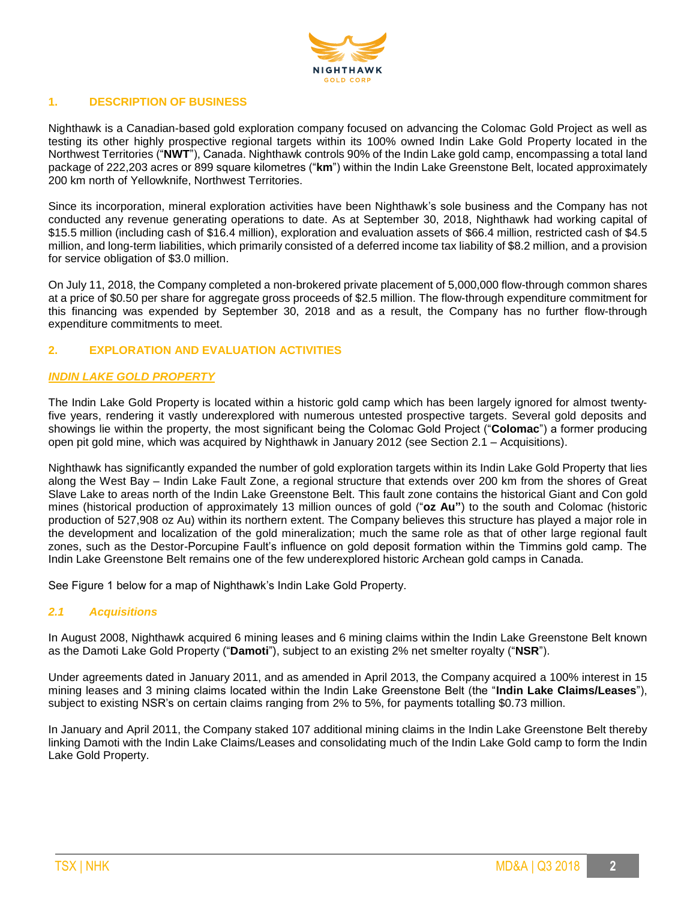

## **1. DESCRIPTION OF BUSINESS**

Nighthawk is a Canadian-based gold exploration company focused on advancing the Colomac Gold Project as well as testing its other highly prospective regional targets within its 100% owned Indin Lake Gold Property located in the Northwest Territories ("**NWT**"), Canada. Nighthawk controls 90% of the Indin Lake gold camp, encompassing a total land package of 222,203 acres or 899 square kilometres ("**km**") within the Indin Lake Greenstone Belt, located approximately 200 km north of Yellowknife, Northwest Territories.

Since its incorporation, mineral exploration activities have been Nighthawk's sole business and the Company has not conducted any revenue generating operations to date. As at September 30, 2018, Nighthawk had working capital of \$15.5 million (including cash of \$16.4 million), exploration and evaluation assets of \$66.4 million, restricted cash of \$4.5 million, and long-term liabilities, which primarily consisted of a deferred income tax liability of \$8.2 million, and a provision for service obligation of \$3.0 million.

On July 11, 2018, the Company completed a non-brokered private placement of 5,000,000 flow-through common shares at a price of \$0.50 per share for aggregate gross proceeds of \$2.5 million. The flow-through expenditure commitment for this financing was expended by September 30, 2018 and as a result, the Company has no further flow-through expenditure commitments to meet.

## **2. EXPLORATION AND EVALUATION ACTIVITIES**

## *INDIN LAKE GOLD PROPERTY*

The Indin Lake Gold Property is located within a historic gold camp which has been largely ignored for almost twentyfive years, rendering it vastly underexplored with numerous untested prospective targets. Several gold deposits and showings lie within the property, the most significant being the Colomac Gold Project ("**Colomac**") a former producing open pit gold mine, which was acquired by Nighthawk in January 2012 (see Section 2.1 – Acquisitions).

Nighthawk has significantly expanded the number of gold exploration targets within its Indin Lake Gold Property that lies along the West Bay – Indin Lake Fault Zone, a regional structure that extends over 200 km from the shores of Great Slave Lake to areas north of the Indin Lake Greenstone Belt. This fault zone contains the historical Giant and Con gold mines (historical production of approximately 13 million ounces of gold ("**oz Au"**) to the south and Colomac (historic production of 527,908 oz Au) within its northern extent. The Company believes this structure has played a major role in the development and localization of the gold mineralization; much the same role as that of other large regional fault zones, such as the Destor-Porcupine Fault's influence on gold deposit formation within the Timmins gold camp. The Indin Lake Greenstone Belt remains one of the few underexplored historic Archean gold camps in Canada.

See Figure 1 below for a map of Nighthawk's Indin Lake Gold Property.

#### *2.1 Acquisitions*

In August 2008, Nighthawk acquired 6 mining leases and 6 mining claims within the Indin Lake Greenstone Belt known as the Damoti Lake Gold Property ("**Damoti**"), subject to an existing 2% net smelter royalty ("**NSR**").

Under agreements dated in January 2011, and as amended in April 2013, the Company acquired a 100% interest in 15 mining leases and 3 mining claims located within the Indin Lake Greenstone Belt (the "**Indin Lake Claims/Leases**"), subject to existing NSR's on certain claims ranging from 2% to 5%, for payments totalling \$0.73 million.

In January and April 2011, the Company staked 107 additional mining claims in the Indin Lake Greenstone Belt thereby linking Damoti with the Indin Lake Claims/Leases and consolidating much of the Indin Lake Gold camp to form the Indin Lake Gold Property.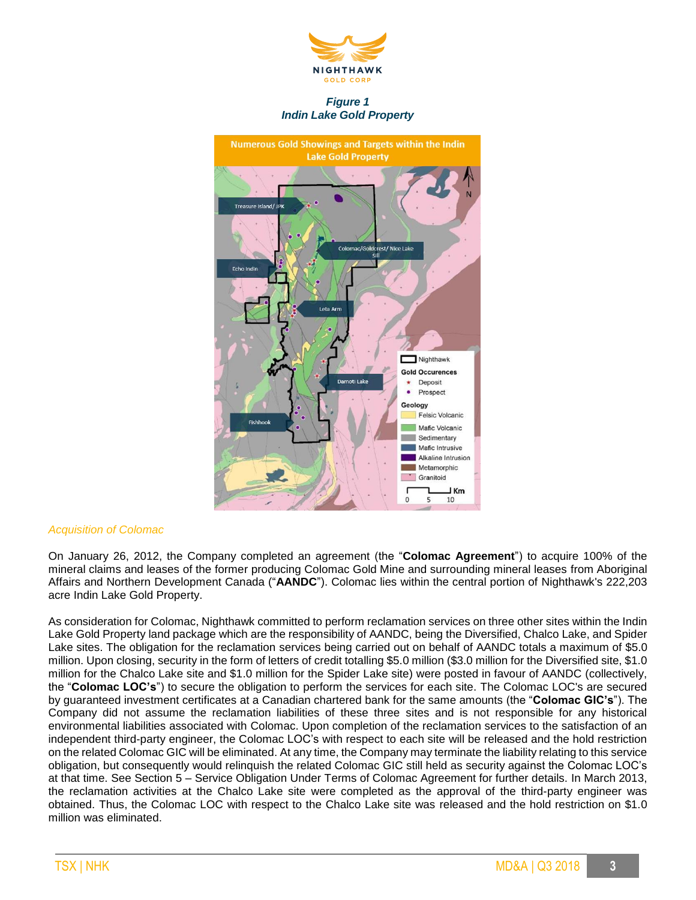

*Figure 1 Indin Lake Gold Property*



#### *Acquisition of Colomac*

On January 26, 2012, the Company completed an agreement (the "**Colomac Agreement**") to acquire 100% of the mineral claims and leases of the former producing Colomac Gold Mine and surrounding mineral leases from Aboriginal Affairs and Northern Development Canada ("**AANDC**"). Colomac lies within the central portion of Nighthawk's 222,203 acre Indin Lake Gold Property.

As consideration for Colomac, Nighthawk committed to perform reclamation services on three other sites within the Indin Lake Gold Property land package which are the responsibility of AANDC, being the Diversified, Chalco Lake, and Spider Lake sites. The obligation for the reclamation services being carried out on behalf of AANDC totals a maximum of \$5.0 million. Upon closing, security in the form of letters of credit totalling \$5.0 million (\$3.0 million for the Diversified site, \$1.0 million for the Chalco Lake site and \$1.0 million for the Spider Lake site) were posted in favour of AANDC (collectively, the "**Colomac LOC's**") to secure the obligation to perform the services for each site. The Colomac LOC's are secured by guaranteed investment certificates at a Canadian chartered bank for the same amounts (the "**Colomac GIC's**"). The Company did not assume the reclamation liabilities of these three sites and is not responsible for any historical environmental liabilities associated with Colomac. Upon completion of the reclamation services to the satisfaction of an independent third-party engineer, the Colomac LOC's with respect to each site will be released and the hold restriction on the related Colomac GIC will be eliminated. At any time, the Company may terminate the liability relating to this service obligation, but consequently would relinquish the related Colomac GIC still held as security against the Colomac LOC's at that time. See Section 5 – Service Obligation Under Terms of Colomac Agreement for further details. In March 2013, the reclamation activities at the Chalco Lake site were completed as the approval of the third-party engineer was obtained. Thus, the Colomac LOC with respect to the Chalco Lake site was released and the hold restriction on \$1.0 million was eliminated.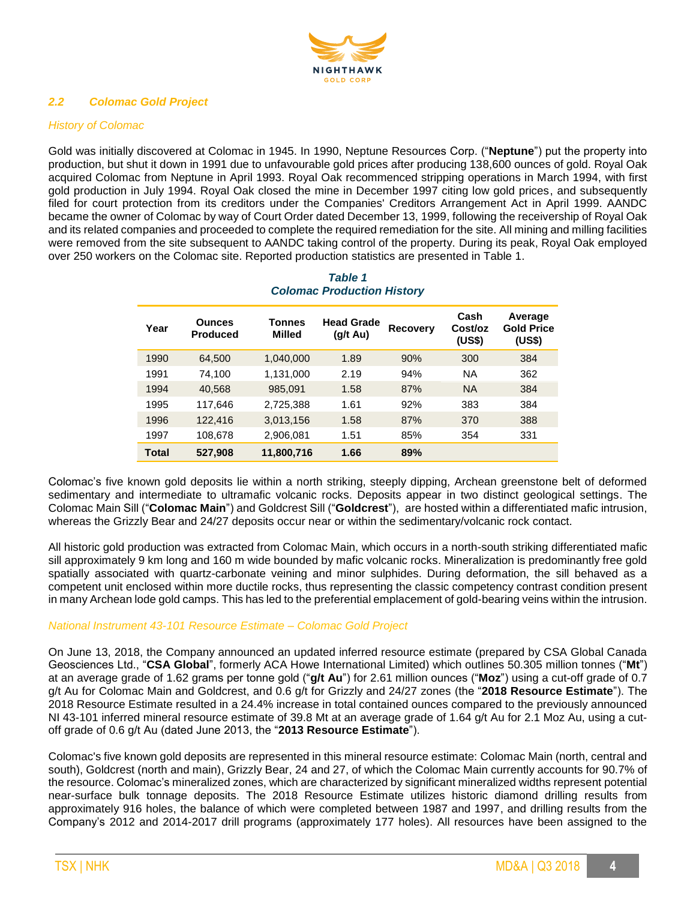

## *2.2 Colomac Gold Project*

## *History of Colomac*

Gold was initially discovered at Colomac in 1945. In 1990, Neptune Resources Corp. ("**Neptune**") put the property into production, but shut it down in 1991 due to unfavourable gold prices after producing 138,600 ounces of gold. Royal Oak acquired Colomac from Neptune in April 1993. Royal Oak recommenced stripping operations in March 1994, with first gold production in July 1994. Royal Oak closed the mine in December 1997 citing low gold prices, and subsequently filed for court protection from its creditors under the Companies' Creditors Arrangement Act in April 1999. AANDC became the owner of Colomac by way of Court Order dated December 13, 1999, following the receivership of Royal Oak and its related companies and proceeded to complete the required remediation for the site. All mining and milling facilities were removed from the site subsequent to AANDC taking control of the property. During its peak, Royal Oak employed over 250 workers on the Colomac site. Reported production statistics are presented in Table 1.

| Year  | <b>Ounces</b><br><b>Produced</b> | Tonnes<br><b>Milled</b> | <b>Head Grade</b><br>(g/t Au) | <b>Recovery</b> | Cash<br>Cost/oz<br>(US\$) | Average<br><b>Gold Price</b><br>(US\$) |
|-------|----------------------------------|-------------------------|-------------------------------|-----------------|---------------------------|----------------------------------------|
| 1990  | 64,500                           | 1,040,000               | 1.89                          | 90%             | 300                       | 384                                    |
| 1991  | 74.100                           | 1,131,000               | 2.19                          | 94%             | <b>NA</b>                 | 362                                    |
| 1994  | 40,568                           | 985,091                 | 1.58                          | 87%             | <b>NA</b>                 | 384                                    |
| 1995  | 117.646                          | 2,725,388               | 1.61                          | 92%             | 383                       | 384                                    |
| 1996  | 122,416                          | 3,013,156               | 1.58                          | 87%             | 370                       | 388                                    |
| 1997  | 108,678                          | 2,906,081               | 1.51                          | 85%             | 354                       | 331                                    |
| Total | 527,908                          | 11,800,716              | 1.66                          | 89%             |                           |                                        |

# *Table 1 Colomac Production History*

Colomac's five known gold deposits lie within a north striking, steeply dipping, Archean greenstone belt of deformed sedimentary and intermediate to ultramafic volcanic rocks. Deposits appear in two distinct geological settings. The Colomac Main Sill ("**Colomac Main**") and Goldcrest Sill ("**Goldcrest**"), are hosted within a differentiated mafic intrusion, whereas the Grizzly Bear and 24/27 deposits occur near or within the sedimentary/volcanic rock contact.

All historic gold production was extracted from Colomac Main, which occurs in a north-south striking differentiated mafic sill approximately 9 km long and 160 m wide bounded by mafic volcanic rocks. Mineralization is predominantly free gold spatially associated with quartz-carbonate veining and minor sulphides. During deformation, the sill behaved as a competent unit enclosed within more ductile rocks, thus representing the classic competency contrast condition present in many Archean lode gold camps. This has led to the preferential emplacement of gold-bearing veins within the intrusion.

## *National Instrument 43-101 Resource Estimate – Colomac Gold Project*

On June 13, 2018, the Company announced an updated inferred resource estimate (prepared by CSA Global Canada Geosciences Ltd., "**CSA Global**", formerly ACA Howe International Limited) which outlines 50.305 million tonnes ("**Mt**") at an average grade of 1.62 grams per tonne gold ("**g/t Au**") for 2.61 million ounces ("**Moz**") using a cut-off grade of 0.7 g/t Au for Colomac Main and Goldcrest, and 0.6 g/t for Grizzly and 24/27 zones (the "**2018 Resource Estimate**"). The 2018 Resource Estimate resulted in a 24.4% increase in total contained ounces compared to the previously announced NI 43-101 inferred mineral resource estimate of 39.8 Mt at an average grade of 1.64 g/t Au for 2.1 Moz Au, using a cutoff grade of 0.6 g/t Au (dated June 2013, the "**2013 Resource Estimate**").

Colomac's five known gold deposits are represented in this mineral resource estimate: Colomac Main (north, central and south), Goldcrest (north and main), Grizzly Bear, 24 and 27, of which the Colomac Main currently accounts for 90.7% of the resource. Colomac's mineralized zones, which are characterized by significant mineralized widths represent potential near-surface bulk tonnage deposits. The 2018 Resource Estimate utilizes historic diamond drilling results from approximately 916 holes, the balance of which were completed between 1987 and 1997, and drilling results from the Company's 2012 and 2014-2017 drill programs (approximately 177 holes). All resources have been assigned to the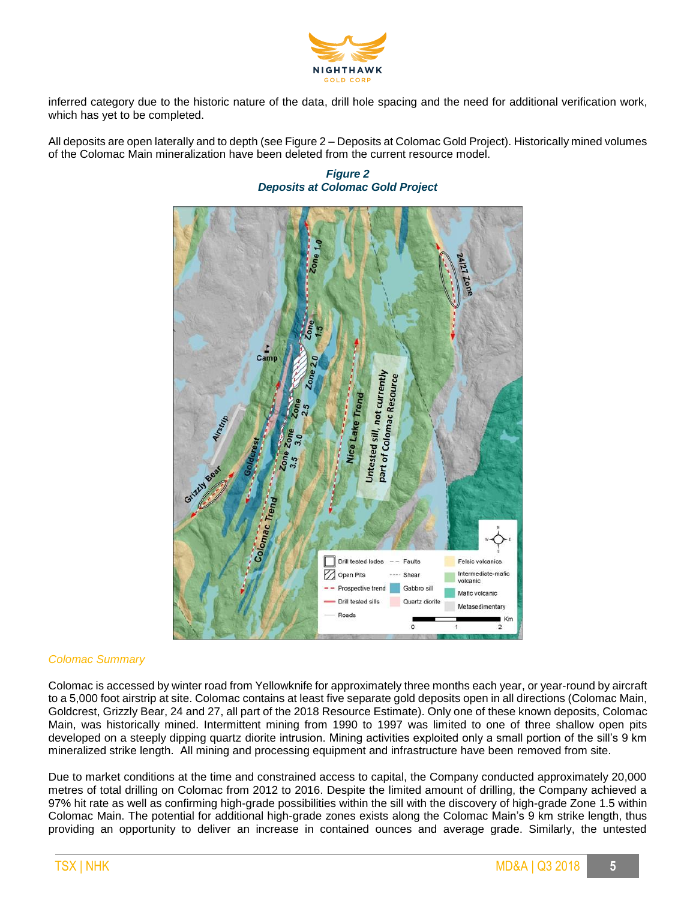

inferred category due to the historic nature of the data, drill hole spacing and the need for additional verification work, which has yet to be completed.

All deposits are open laterally and to depth (see Figure 2 – Deposits at Colomac Gold Project). Historically mined volumes of the Colomac Main mineralization have been deleted from the current resource model.

*Figure 2 Deposits at Colomac Gold Project*



#### *Colomac Summary*

Colomac is accessed by winter road from Yellowknife for approximately three months each year, or year-round by aircraft to a 5,000 foot airstrip at site. Colomac contains at least five separate gold deposits open in all directions (Colomac Main, Goldcrest, Grizzly Bear, 24 and 27, all part of the 2018 Resource Estimate). Only one of these known deposits, Colomac Main, was historically mined. Intermittent mining from 1990 to 1997 was limited to one of three shallow open pits developed on a steeply dipping quartz diorite intrusion. Mining activities exploited only a small portion of the sill's 9 km mineralized strike length. All mining and processing equipment and infrastructure have been removed from site.

Due to market conditions at the time and constrained access to capital, the Company conducted approximately 20,000 metres of total drilling on Colomac from 2012 to 2016. Despite the limited amount of drilling, the Company achieved a 97% hit rate as well as confirming high-grade possibilities within the sill with the discovery of high-grade Zone 1.5 within Colomac Main. The potential for additional high-grade zones exists along the Colomac Main's 9 km strike length, thus providing an opportunity to deliver an increase in contained ounces and average grade. Similarly, the untested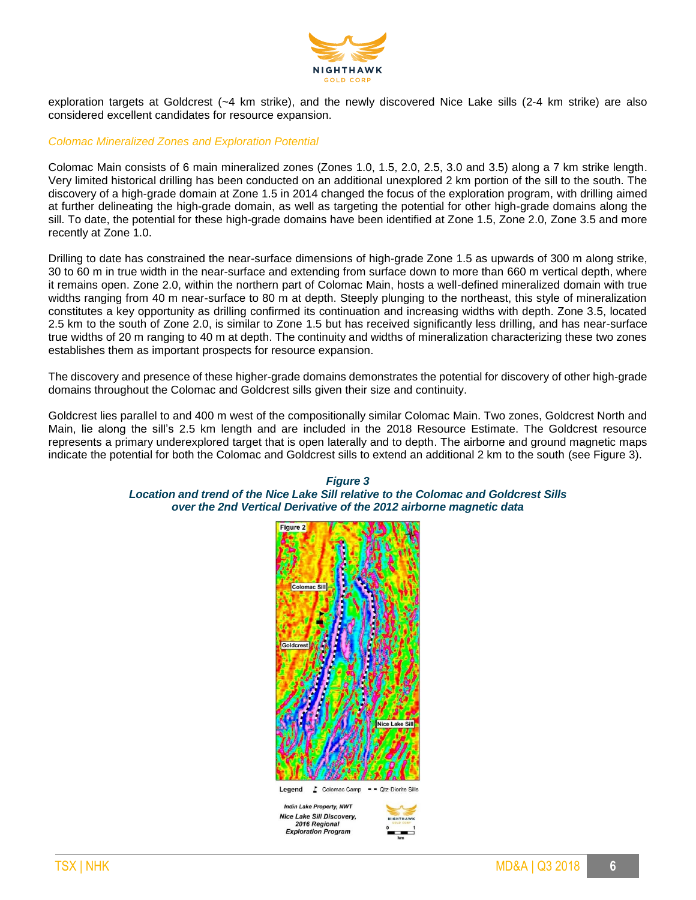

exploration targets at Goldcrest (~4 km strike), and the newly discovered Nice Lake sills (2-4 km strike) are also considered excellent candidates for resource expansion.

#### *Colomac Mineralized Zones and Exploration Potential*

Colomac Main consists of 6 main mineralized zones (Zones 1.0, 1.5, 2.0, 2.5, 3.0 and 3.5) along a 7 km strike length. Very limited historical drilling has been conducted on an additional unexplored 2 km portion of the sill to the south. The discovery of a high-grade domain at Zone 1.5 in 2014 changed the focus of the exploration program, with drilling aimed at further delineating the high-grade domain, as well as targeting the potential for other high-grade domains along the sill. To date, the potential for these high-grade domains have been identified at Zone 1.5, Zone 2.0, Zone 3.5 and more recently at Zone 1.0.

Drilling to date has constrained the near-surface dimensions of high-grade Zone 1.5 as upwards of 300 m along strike, 30 to 60 m in true width in the near-surface and extending from surface down to more than 660 m vertical depth, where it remains open. Zone 2.0, within the northern part of Colomac Main, hosts a well-defined mineralized domain with true widths ranging from 40 m near-surface to 80 m at depth. Steeply plunging to the northeast, this style of mineralization constitutes a key opportunity as drilling confirmed its continuation and increasing widths with depth. Zone 3.5, located 2.5 km to the south of Zone 2.0, is similar to Zone 1.5 but has received significantly less drilling, and has near-surface true widths of 20 m ranging to 40 m at depth. The continuity and widths of mineralization characterizing these two zones establishes them as important prospects for resource expansion.

The discovery and presence of these higher-grade domains demonstrates the potential for discovery of other high-grade domains throughout the Colomac and Goldcrest sills given their size and continuity.

Goldcrest lies parallel to and 400 m west of the compositionally similar Colomac Main. Two zones, Goldcrest North and Main, lie along the sill's 2.5 km length and are included in the 2018 Resource Estimate. The Goldcrest resource represents a primary underexplored target that is open laterally and to depth. The airborne and ground magnetic maps indicate the potential for both the Colomac and Goldcrest sills to extend an additional 2 km to the south (see Figure 3).

## *Figure 3 Location and trend of the Nice Lake Sill relative to the Colomac and Goldcrest Sills over the 2nd Vertical Derivative of the 2012 airborne magnetic data*

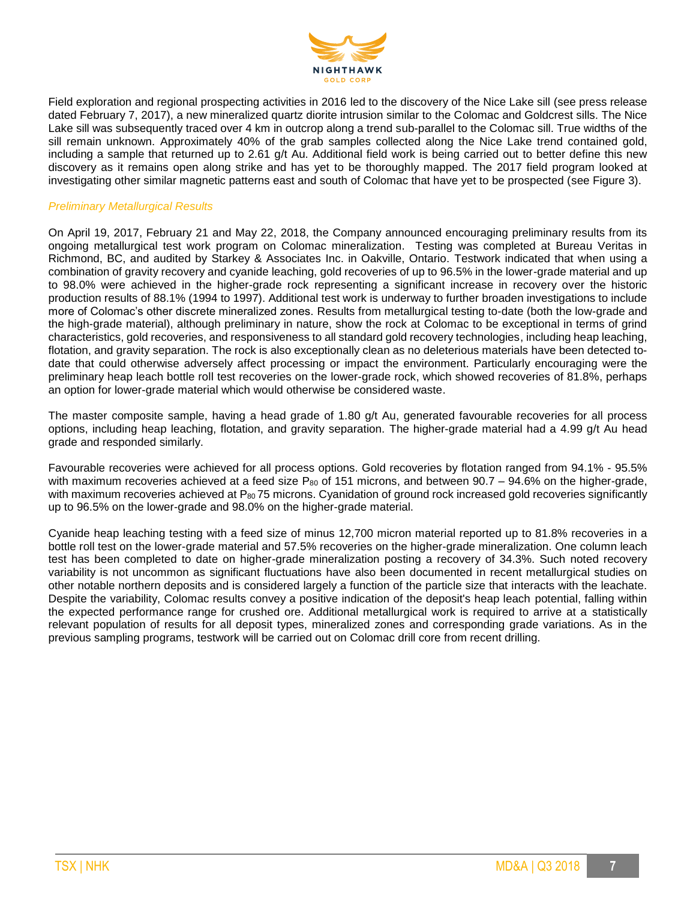

Field exploration and regional prospecting activities in 2016 led to the discovery of the Nice Lake sill (see press release dated February 7, 2017), a new mineralized quartz diorite intrusion similar to the Colomac and Goldcrest sills. The Nice Lake sill was subsequently traced over 4 km in outcrop along a trend sub-parallel to the Colomac sill. True widths of the sill remain unknown. Approximately 40% of the grab samples collected along the Nice Lake trend contained gold, including a sample that returned up to 2.61 g/t Au. Additional field work is being carried out to better define this new discovery as it remains open along strike and has yet to be thoroughly mapped. The 2017 field program looked at investigating other similar magnetic patterns east and south of Colomac that have yet to be prospected (see Figure 3).

#### *Preliminary Metallurgical Results*

On April 19, 2017, February 21 and May 22, 2018, the Company announced encouraging preliminary results from its ongoing metallurgical test work program on Colomac mineralization. Testing was completed at Bureau Veritas in Richmond, BC, and audited by Starkey & Associates Inc. in Oakville, Ontario. Testwork indicated that when using a combination of gravity recovery and cyanide leaching, gold recoveries of up to 96.5% in the lower-grade material and up to 98.0% were achieved in the higher-grade rock representing a significant increase in recovery over the historic production results of 88.1% (1994 to 1997). Additional test work is underway to further broaden investigations to include more of Colomac's other discrete mineralized zones. Results from metallurgical testing to-date (both the low-grade and the high-grade material), although preliminary in nature, show the rock at Colomac to be exceptional in terms of grind characteristics, gold recoveries, and responsiveness to all standard gold recovery technologies, including heap leaching, flotation, and gravity separation. The rock is also exceptionally clean as no deleterious materials have been detected todate that could otherwise adversely affect processing or impact the environment. Particularly encouraging were the preliminary heap leach bottle roll test recoveries on the lower-grade rock, which showed recoveries of 81.8%, perhaps an option for lower-grade material which would otherwise be considered waste.

The master composite sample, having a head grade of 1.80 g/t Au, generated favourable recoveries for all process options, including heap leaching, flotation, and gravity separation. The higher-grade material had a 4.99 g/t Au head grade and responded similarly.

Favourable recoveries were achieved for all process options. Gold recoveries by flotation ranged from 94.1% - 95.5% with maximum recoveries achieved at a feed size P<sub>80</sub> of 151 microns, and between 90.7 – 94.6% on the higher-grade, with maximum recoveries achieved at P<sub>80</sub> 75 microns. Cyanidation of ground rock increased gold recoveries significantly up to 96.5% on the lower-grade and 98.0% on the higher-grade material.

Cyanide heap leaching testing with a feed size of minus 12,700 micron material reported up to 81.8% recoveries in a bottle roll test on the lower-grade material and 57.5% recoveries on the higher-grade mineralization. One column leach test has been completed to date on higher-grade mineralization posting a recovery of 34.3%. Such noted recovery variability is not uncommon as significant fluctuations have also been documented in recent metallurgical studies on other notable northern deposits and is considered largely a function of the particle size that interacts with the leachate. Despite the variability, Colomac results convey a positive indication of the deposit's heap leach potential, falling within the expected performance range for crushed ore. Additional metallurgical work is required to arrive at a statistically relevant population of results for all deposit types, mineralized zones and corresponding grade variations. As in the previous sampling programs, testwork will be carried out on Colomac drill core from recent drilling.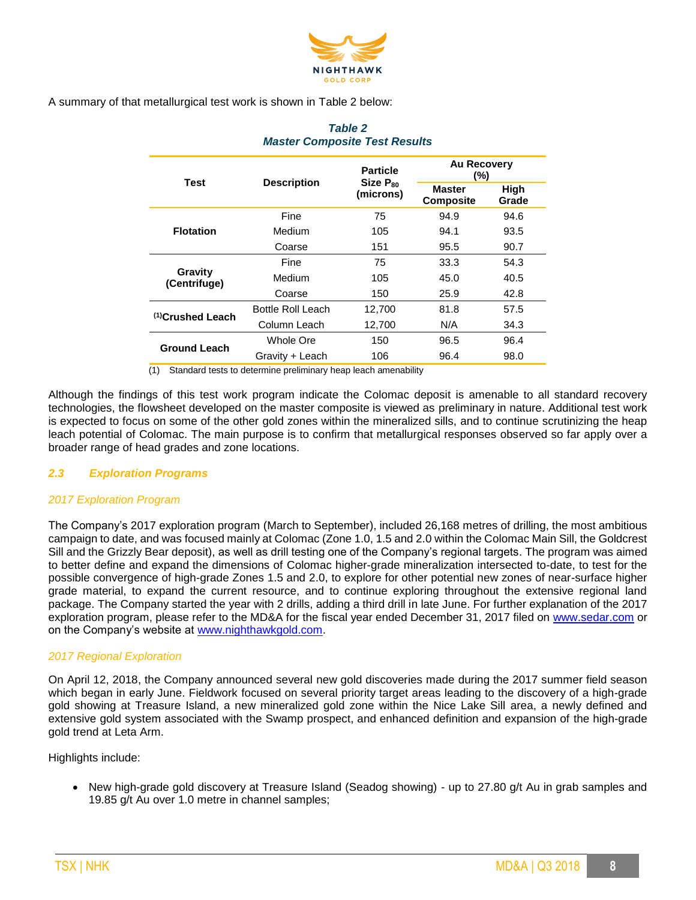

A summary of that metallurgical test work is shown in Table 2 below:

| <b>Test</b>             | <b>Description</b>       | <b>Particle</b>            | <b>Au Recovery</b><br>(%)         |               |
|-------------------------|--------------------------|----------------------------|-----------------------------------|---------------|
|                         |                          | $Size P_{80}$<br>(microns) | <b>Master</b><br><b>Composite</b> | High<br>Grade |
|                         | Fine                     | 75                         | 94.9                              | 94.6          |
| <b>Flotation</b>        | Medium                   | 105                        | 94.1                              | 93.5          |
|                         | Coarse                   | 151                        | 95.5                              | 90.7          |
|                         | Fine                     | 75                         | 33.3                              | 54.3          |
| Gravity<br>(Centrifuge) | Medium                   | 105                        | 45.0                              | 40.5          |
|                         | Coarse                   | 150                        | 25.9                              | 42.8          |
| $(1)$ Crushed Leach     | <b>Bottle Roll Leach</b> | 12,700                     | 81.8                              | 57.5          |
|                         | Column Leach             | 12,700                     | N/A                               | 34.3          |
| <b>Ground Leach</b>     | Whole Ore                | 150                        | 96.5                              | 96.4          |
|                         | Gravity + Leach          | 106                        | 96.4                              | 98.0          |

## *Table 2 Master Composite Test Results*

(1) Standard tests to determine preliminary heap leach amenability

Although the findings of this test work program indicate the Colomac deposit is amenable to all standard recovery technologies, the flowsheet developed on the master composite is viewed as preliminary in nature. Additional test work is expected to focus on some of the other gold zones within the mineralized sills, and to continue scrutinizing the heap leach potential of Colomac. The main purpose is to confirm that metallurgical responses observed so far apply over a broader range of head grades and zone locations.

## *2.3 Exploration Programs*

## *2017 Exploration Program*

The Company's 2017 exploration program (March to September), included 26,168 metres of drilling, the most ambitious campaign to date, and was focused mainly at Colomac (Zone 1.0, 1.5 and 2.0 within the Colomac Main Sill, the Goldcrest Sill and the Grizzly Bear deposit), as well as drill testing one of the Company's regional targets. The program was aimed to better define and expand the dimensions of Colomac higher-grade mineralization intersected to-date, to test for the possible convergence of high-grade Zones 1.5 and 2.0, to explore for other potential new zones of near-surface higher grade material, to expand the current resource, and to continue exploring throughout the extensive regional land package. The Company started the year with 2 drills, adding a third drill in late June. For further explanation of the 2017 exploration program, please refer to the MD&A for the fiscal year ended December 31, 2017 filed on [www.sedar.com](http://www.sedar.com/) or on the Company's website at [www.nighthawkgold.com.](http://www.nighthawkgold.com/)

## *2017 Regional Exploration*

On April 12, 2018, the Company announced several new gold discoveries made during the 2017 summer field season which began in early June. Fieldwork focused on several priority target areas leading to the discovery of a high-grade gold showing at Treasure Island, a new mineralized gold zone within the Nice Lake Sill area, a newly defined and extensive gold system associated with the Swamp prospect, and enhanced definition and expansion of the high-grade gold trend at Leta Arm.

Highlights include:

• New high-grade gold discovery at Treasure Island (Seadog showing) - up to 27.80 g/t Au in grab samples and 19.85 g/t Au over 1.0 metre in channel samples;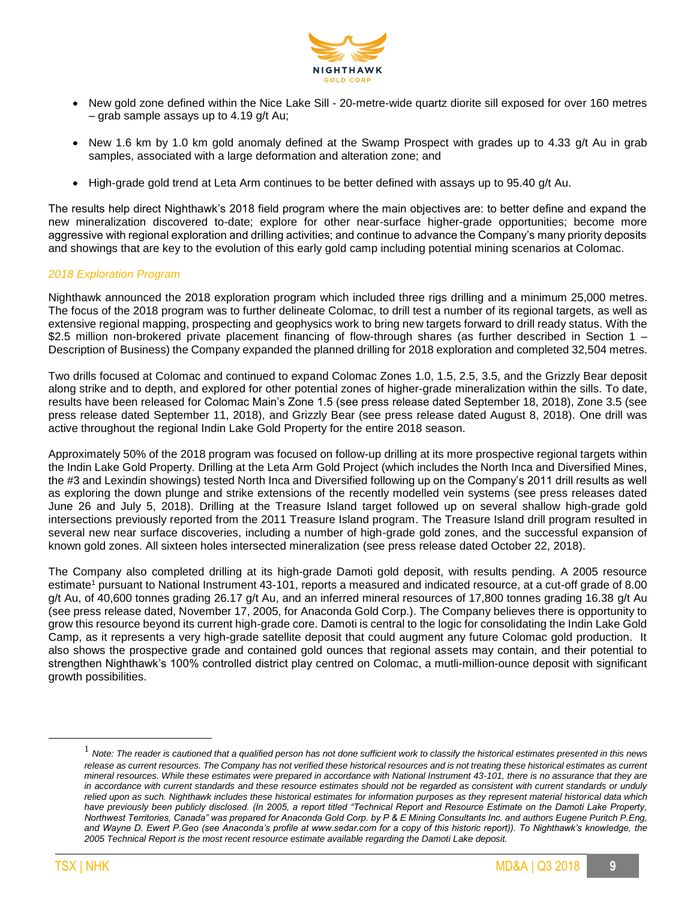

- New gold zone defined within the Nice Lake Sill 20-metre-wide quartz diorite sill exposed for over 160 metres – grab sample assays up to 4.19 g/t Au;
- New 1.6 km by 1.0 km gold anomaly defined at the Swamp Prospect with grades up to 4.33 g/t Au in grab samples, associated with a large deformation and alteration zone; and
- High-grade gold trend at Leta Arm continues to be better defined with assays up to 95.40 g/t Au.

The results help direct Nighthawk's 2018 field program where the main objectives are: to better define and expand the new mineralization discovered to-date; explore for other near-surface higher-grade opportunities; become more aggressive with regional exploration and drilling activities; and continue to advance the Company's many priority deposits and showings that are key to the evolution of this early gold camp including potential mining scenarios at Colomac.

#### *2018 Exploration Program*

Nighthawk announced the 2018 exploration program which included three rigs drilling and a minimum 25,000 metres. The focus of the 2018 program was to further delineate Colomac, to drill test a number of its regional targets, as well as extensive regional mapping, prospecting and geophysics work to bring new targets forward to drill ready status. With the \$2.5 million non-brokered private placement financing of flow-through shares (as further described in Section 1 – Description of Business) the Company expanded the planned drilling for 2018 exploration and completed 32,504 metres.

Two drills focused at Colomac and continued to expand Colomac Zones 1.0, 1.5, 2.5, 3.5, and the Grizzly Bear deposit along strike and to depth, and explored for other potential zones of higher-grade mineralization within the sills. To date, results have been released for Colomac Main's Zone 1.5 (see press release dated September 18, 2018), Zone 3.5 (see press release dated September 11, 2018), and Grizzly Bear (see press release dated August 8, 2018). One drill was active throughout the regional Indin Lake Gold Property for the entire 2018 season.

Approximately 50% of the 2018 program was focused on follow-up drilling at its more prospective regional targets within the Indin Lake Gold Property. Drilling at the Leta Arm Gold Project (which includes the North Inca and Diversified Mines, the #3 and Lexindin showings) tested North Inca and Diversified following up on the Company's 2011 drill results as well as exploring the down plunge and strike extensions of the recently modelled vein systems (see press releases dated June 26 and July 5, 2018). Drilling at the Treasure Island target followed up on several shallow high-grade gold intersections previously reported from the 2011 Treasure Island program. The Treasure Island drill program resulted in several new near surface discoveries, including a number of high-grade gold zones, and the successful expansion of known gold zones. All sixteen holes intersected mineralization (see press release dated October 22, 2018).

The Company also completed drilling at its high-grade Damoti gold deposit, with results pending. A 2005 resource estimate<sup>1</sup> pursuant to National Instrument 43-101, reports a measured and indicated resource, at a cut-off grade of 8.00 g/t Au, of 40,600 tonnes grading 26.17 g/t Au, and an inferred mineral resources of 17,800 tonnes grading 16.38 g/t Au (see press release dated, November 17, 2005, for Anaconda Gold Corp.). The Company believes there is opportunity to grow this resource beyond its current high-grade core. Damoti is central to the logic for consolidating the Indin Lake Gold Camp, as it represents a very high-grade satellite deposit that could augment any future Colomac gold production. It also shows the prospective grade and contained gold ounces that regional assets may contain, and their potential to strengthen Nighthawk's 100% controlled district play centred on Colomac, a mutli-million-ounce deposit with significant growth possibilities.

 $\overline{a}$ 

<sup>1</sup> *Note: The reader is cautioned that a qualified person has not done sufficient work to classify the historical estimates presented in this news*  release as current resources. The Company has not verified these historical resources and is not treating these historical estimates as current *mineral resources. While these estimates were prepared in accordance with National Instrument 43-101, there is no assurance that they are in accordance with current standards and these resource estimates should not be regarded as consistent with current standards or unduly relied upon as such. Nighthawk includes these historical estimates for information purposes as they represent material historical data which have previously been publicly disclosed. (In 2005, a report titled "Technical Report and Resource Estimate on the Damoti Lake Property, Northwest Territories, Canada" was prepared for Anaconda Gold Corp. by P & E Mining Consultants Inc. and authors Eugene Puritch P.Eng, and Wayne D. Ewert P.Geo (see Anaconda's profile at www.sedar.com for a copy of this historic report)). To Nighthawk's knowledge, the 2005 Technical Report is the most recent resource estimate available regarding the Damoti Lake deposit.*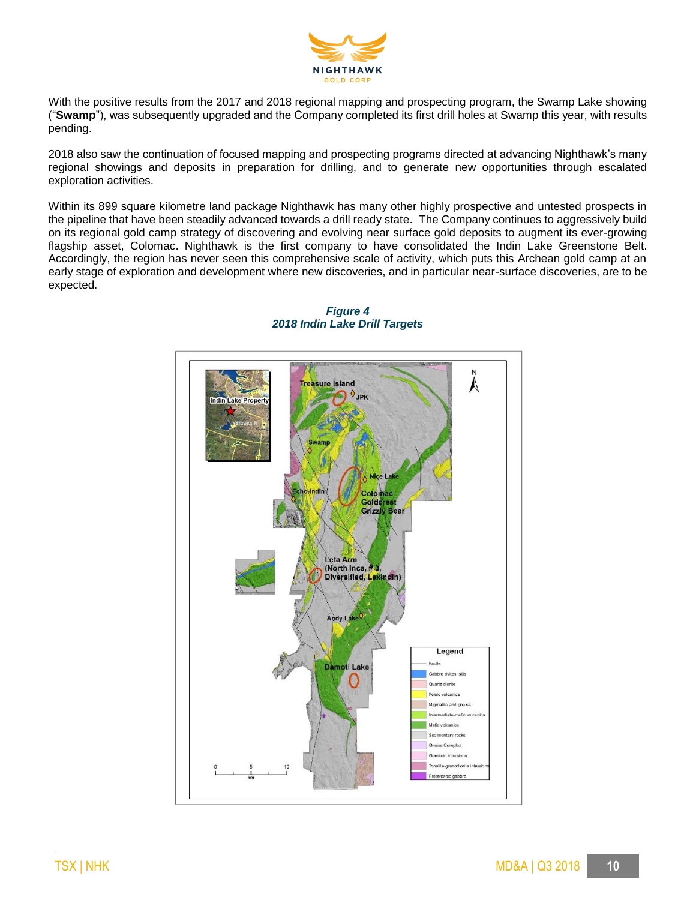

With the positive results from the 2017 and 2018 regional mapping and prospecting program, the Swamp Lake showing ("**Swamp**"), was subsequently upgraded and the Company completed its first drill holes at Swamp this year, with results pending.

2018 also saw the continuation of focused mapping and prospecting programs directed at advancing Nighthawk's many regional showings and deposits in preparation for drilling, and to generate new opportunities through escalated exploration activities.

Within its 899 square kilometre land package Nighthawk has many other highly prospective and untested prospects in the pipeline that have been steadily advanced towards a drill ready state. The Company continues to aggressively build on its regional gold camp strategy of discovering and evolving near surface gold deposits to augment its ever-growing flagship asset, Colomac. Nighthawk is the first company to have consolidated the Indin Lake Greenstone Belt. Accordingly, the region has never seen this comprehensive scale of activity, which puts this Archean gold camp at an early stage of exploration and development where new discoveries, and in particular near-surface discoveries, are to be expected.



## *Figure 4 2018 Indin Lake Drill Targets*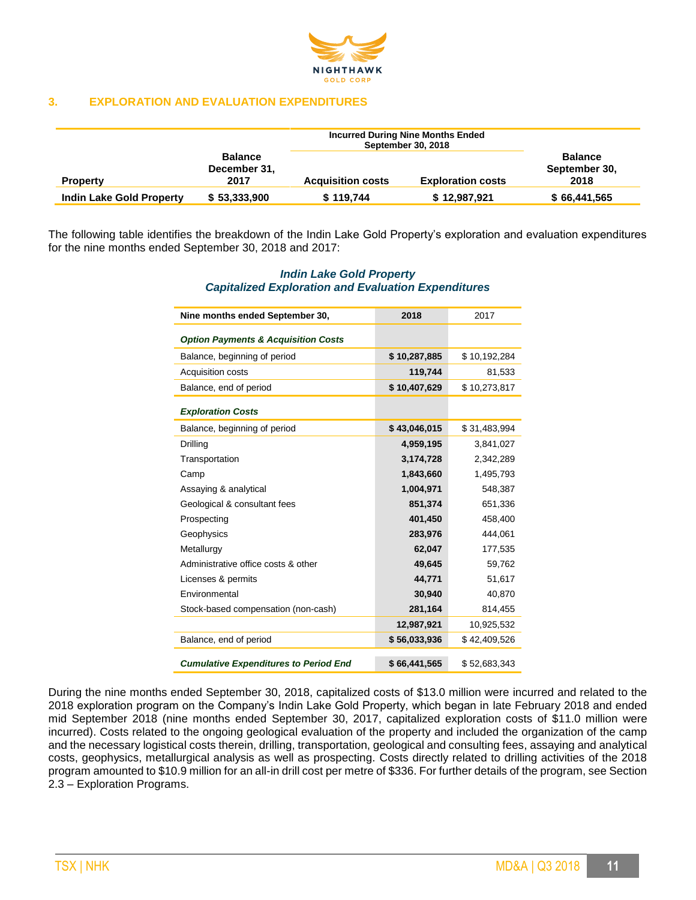

#### **3. EXPLORATION AND EVALUATION EXPENDITURES**

|                                 |                                        |                          | <b>Incurred During Nine Months Ended</b><br><b>September 30, 2018</b> |                                         |
|---------------------------------|----------------------------------------|--------------------------|-----------------------------------------------------------------------|-----------------------------------------|
| <b>Property</b>                 | <b>Balance</b><br>December 31,<br>2017 | <b>Acquisition costs</b> | <b>Exploration costs</b>                                              | <b>Balance</b><br>September 30,<br>2018 |
| <b>Indin Lake Gold Property</b> | \$53,333,900                           | \$119.744                | \$12,987,921                                                          | \$66,441,565                            |

The following table identifies the breakdown of the Indin Lake Gold Property's exploration and evaluation expenditures for the nine months ended September 30, 2018 and 2017:

## *Indin Lake Gold Property Capitalized Exploration and Evaluation Expenditures*

| Nine months ended September 30,                | 2018         | 2017         |
|------------------------------------------------|--------------|--------------|
| <b>Option Payments &amp; Acquisition Costs</b> |              |              |
| Balance, beginning of period                   | \$10,287,885 | \$10,192,284 |
| Acquisition costs                              | 119,744      | 81,533       |
| Balance, end of period                         | \$10,407,629 | \$10,273,817 |
| <b>Exploration Costs</b>                       |              |              |
| Balance, beginning of period                   | \$43,046,015 | \$31,483,994 |
| Drilling                                       | 4,959,195    | 3,841,027    |
| Transportation                                 | 3,174,728    | 2,342,289    |
| Camp                                           | 1,843,660    | 1,495,793    |
| Assaying & analytical                          | 1,004,971    | 548,387      |
| Geological & consultant fees                   | 851,374      | 651,336      |
| Prospecting                                    | 401,450      | 458,400      |
| Geophysics                                     | 283,976      | 444,061      |
| Metallurgy                                     | 62,047       | 177,535      |
| Administrative office costs & other            | 49,645       | 59,762       |
| Licenses & permits                             | 44,771       | 51,617       |
| Environmental                                  | 30,940       | 40,870       |
| Stock-based compensation (non-cash)            | 281,164      | 814,455      |
|                                                | 12,987,921   | 10,925,532   |
| Balance, end of period                         | \$56,033,936 | \$42,409,526 |
| <b>Cumulative Expenditures to Period End</b>   | \$66,441,565 | \$52,683,343 |

During the nine months ended September 30, 2018, capitalized costs of \$13.0 million were incurred and related to the 2018 exploration program on the Company's Indin Lake Gold Property, which began in late February 2018 and ended mid September 2018 (nine months ended September 30, 2017, capitalized exploration costs of \$11.0 million were incurred). Costs related to the ongoing geological evaluation of the property and included the organization of the camp and the necessary logistical costs therein, drilling, transportation, geological and consulting fees, assaying and analytical costs, geophysics, metallurgical analysis as well as prospecting. Costs directly related to drilling activities of the 2018 program amounted to \$10.9 million for an all-in drill cost per metre of \$336. For further details of the program, see Section 2.3 – Exploration Programs.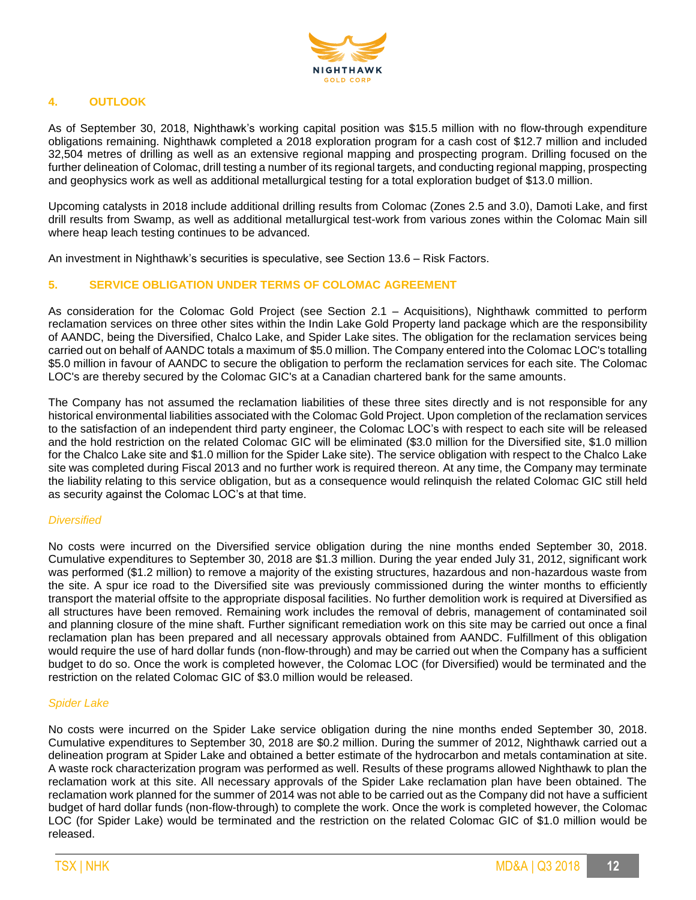

## **4. OUTLOOK**

As of September 30, 2018, Nighthawk's working capital position was \$15.5 million with no flow-through expenditure obligations remaining. Nighthawk completed a 2018 exploration program for a cash cost of \$12.7 million and included 32,504 metres of drilling as well as an extensive regional mapping and prospecting program. Drilling focused on the further delineation of Colomac, drill testing a number of its regional targets, and conducting regional mapping, prospecting and geophysics work as well as additional metallurgical testing for a total exploration budget of \$13.0 million.

Upcoming catalysts in 2018 include additional drilling results from Colomac (Zones 2.5 and 3.0), Damoti Lake, and first drill results from Swamp, as well as additional metallurgical test-work from various zones within the Colomac Main sill where heap leach testing continues to be advanced.

An investment in Nighthawk's securities is speculative, see Section 13.6 – Risk Factors.

## **5. SERVICE OBLIGATION UNDER TERMS OF COLOMAC AGREEMENT**

As consideration for the Colomac Gold Project (see Section 2.1 – Acquisitions), Nighthawk committed to perform reclamation services on three other sites within the Indin Lake Gold Property land package which are the responsibility of AANDC, being the Diversified, Chalco Lake, and Spider Lake sites. The obligation for the reclamation services being carried out on behalf of AANDC totals a maximum of \$5.0 million. The Company entered into the Colomac LOC's totalling \$5.0 million in favour of AANDC to secure the obligation to perform the reclamation services for each site. The Colomac LOC's are thereby secured by the Colomac GIC's at a Canadian chartered bank for the same amounts.

The Company has not assumed the reclamation liabilities of these three sites directly and is not responsible for any historical environmental liabilities associated with the Colomac Gold Project. Upon completion of the reclamation services to the satisfaction of an independent third party engineer, the Colomac LOC's with respect to each site will be released and the hold restriction on the related Colomac GIC will be eliminated (\$3.0 million for the Diversified site, \$1.0 million for the Chalco Lake site and \$1.0 million for the Spider Lake site). The service obligation with respect to the Chalco Lake site was completed during Fiscal 2013 and no further work is required thereon. At any time, the Company may terminate the liability relating to this service obligation, but as a consequence would relinquish the related Colomac GIC still held as security against the Colomac LOC's at that time.

#### *Diversified*

No costs were incurred on the Diversified service obligation during the nine months ended September 30, 2018. Cumulative expenditures to September 30, 2018 are \$1.3 million. During the year ended July 31, 2012, significant work was performed (\$1.2 million) to remove a majority of the existing structures, hazardous and non-hazardous waste from the site. A spur ice road to the Diversified site was previously commissioned during the winter months to efficiently transport the material offsite to the appropriate disposal facilities. No further demolition work is required at Diversified as all structures have been removed. Remaining work includes the removal of debris, management of contaminated soil and planning closure of the mine shaft. Further significant remediation work on this site may be carried out once a final reclamation plan has been prepared and all necessary approvals obtained from AANDC. Fulfillment of this obligation would require the use of hard dollar funds (non-flow-through) and may be carried out when the Company has a sufficient budget to do so. Once the work is completed however, the Colomac LOC (for Diversified) would be terminated and the restriction on the related Colomac GIC of \$3.0 million would be released.

#### *Spider Lake*

No costs were incurred on the Spider Lake service obligation during the nine months ended September 30, 2018. Cumulative expenditures to September 30, 2018 are \$0.2 million. During the summer of 2012, Nighthawk carried out a delineation program at Spider Lake and obtained a better estimate of the hydrocarbon and metals contamination at site. A waste rock characterization program was performed as well. Results of these programs allowed Nighthawk to plan the reclamation work at this site. All necessary approvals of the Spider Lake reclamation plan have been obtained. The reclamation work planned for the summer of 2014 was not able to be carried out as the Company did not have a sufficient budget of hard dollar funds (non-flow-through) to complete the work. Once the work is completed however, the Colomac LOC (for Spider Lake) would be terminated and the restriction on the related Colomac GIC of \$1.0 million would be released.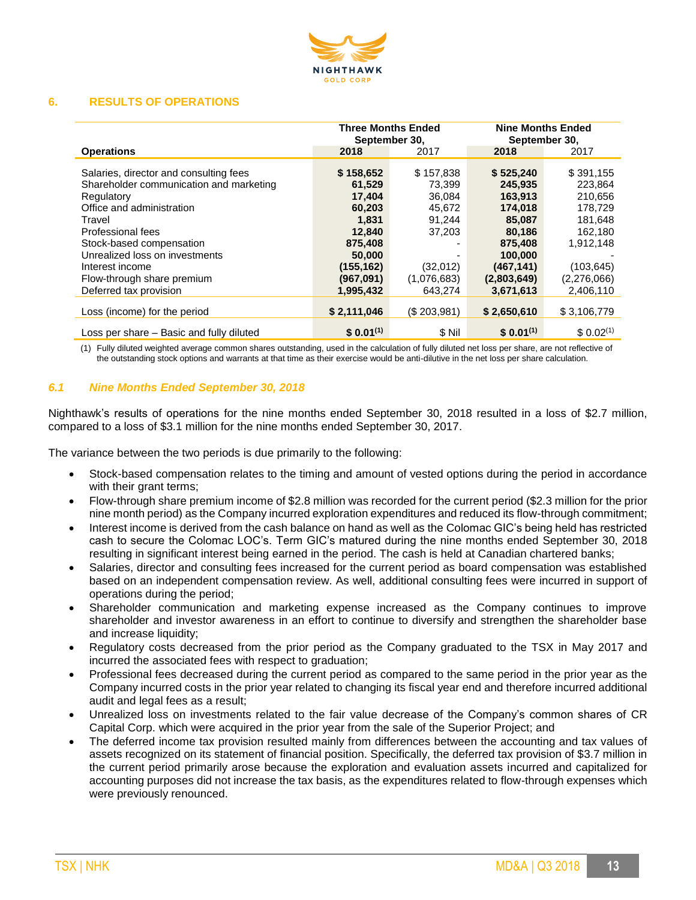

#### **6. RESULTS OF OPERATIONS**

|                                                                                                                                                                                                                                                                                                      | <b>Three Months Ended</b><br>September 30,                                                                              |                                                                                                        | <b>Nine Months Ended</b><br>September 30,                                                                                      |                                                                                                                         |
|------------------------------------------------------------------------------------------------------------------------------------------------------------------------------------------------------------------------------------------------------------------------------------------------------|-------------------------------------------------------------------------------------------------------------------------|--------------------------------------------------------------------------------------------------------|--------------------------------------------------------------------------------------------------------------------------------|-------------------------------------------------------------------------------------------------------------------------|
| <b>Operations</b>                                                                                                                                                                                                                                                                                    | 2018                                                                                                                    | 2017                                                                                                   | 2018                                                                                                                           | 2017                                                                                                                    |
| Salaries, director and consulting fees<br>Shareholder communication and marketing<br>Regulatory<br>Office and administration<br>Travel<br>Professional fees<br>Stock-based compensation<br>Unrealized loss on investments<br>Interest income<br>Flow-through share premium<br>Deferred tax provision | \$158,652<br>61,529<br>17,404<br>60,203<br>1.831<br>12,840<br>875,408<br>50,000<br>(155, 162)<br>(967,091)<br>1,995,432 | \$157,838<br>73.399<br>36,084<br>45,672<br>91.244<br>37,203<br>۰<br>(32,012)<br>(1,076,683)<br>643,274 | \$525,240<br>245.935<br>163,913<br>174,018<br>85,087<br>80,186<br>875,408<br>100,000<br>(467, 141)<br>(2,803,649)<br>3,671,613 | \$391,155<br>223.864<br>210,656<br>178.729<br>181.648<br>162,180<br>1.912.148<br>(103, 645)<br>(2,276,066)<br>2,406,110 |
| Loss (income) for the period                                                                                                                                                                                                                                                                         | \$2,111,046                                                                                                             | (S.203.981)                                                                                            | \$2,650,610                                                                                                                    | \$3,106,779                                                                                                             |
| Loss per share – Basic and fully diluted                                                                                                                                                                                                                                                             | $$0.01^{(1)}$                                                                                                           | \$ Nil                                                                                                 | $$0.01^{(1)}$                                                                                                                  | \$0.02 <sup>(1)</sup>                                                                                                   |

(1) Fully diluted weighted average common shares outstanding, used in the calculation of fully diluted net loss per share, are not reflective of the outstanding stock options and warrants at that time as their exercise would be anti-dilutive in the net loss per share calculation.

## *6.1 Nine Months Ended September 30, 2018*

Nighthawk's results of operations for the nine months ended September 30, 2018 resulted in a loss of \$2.7 million, compared to a loss of \$3.1 million for the nine months ended September 30, 2017.

The variance between the two periods is due primarily to the following:

- Stock-based compensation relates to the timing and amount of vested options during the period in accordance with their grant terms;
- Flow-through share premium income of \$2.8 million was recorded for the current period (\$2.3 million for the prior nine month period) as the Company incurred exploration expenditures and reduced its flow-through commitment;
- Interest income is derived from the cash balance on hand as well as the Colomac GIC's being held has restricted cash to secure the Colomac LOC's. Term GIC's matured during the nine months ended September 30, 2018 resulting in significant interest being earned in the period. The cash is held at Canadian chartered banks;
- Salaries, director and consulting fees increased for the current period as board compensation was established based on an independent compensation review. As well, additional consulting fees were incurred in support of operations during the period;
- Shareholder communication and marketing expense increased as the Company continues to improve shareholder and investor awareness in an effort to continue to diversify and strengthen the shareholder base and increase liquidity;
- Regulatory costs decreased from the prior period as the Company graduated to the TSX in May 2017 and incurred the associated fees with respect to graduation;
- Professional fees decreased during the current period as compared to the same period in the prior year as the Company incurred costs in the prior year related to changing its fiscal year end and therefore incurred additional audit and legal fees as a result;
- Unrealized loss on investments related to the fair value decrease of the Company's common shares of CR Capital Corp. which were acquired in the prior year from the sale of the Superior Project; and
- The deferred income tax provision resulted mainly from differences between the accounting and tax values of assets recognized on its statement of financial position. Specifically, the deferred tax provision of \$3.7 million in the current period primarily arose because the exploration and evaluation assets incurred and capitalized for accounting purposes did not increase the tax basis, as the expenditures related to flow-through expenses which were previously renounced.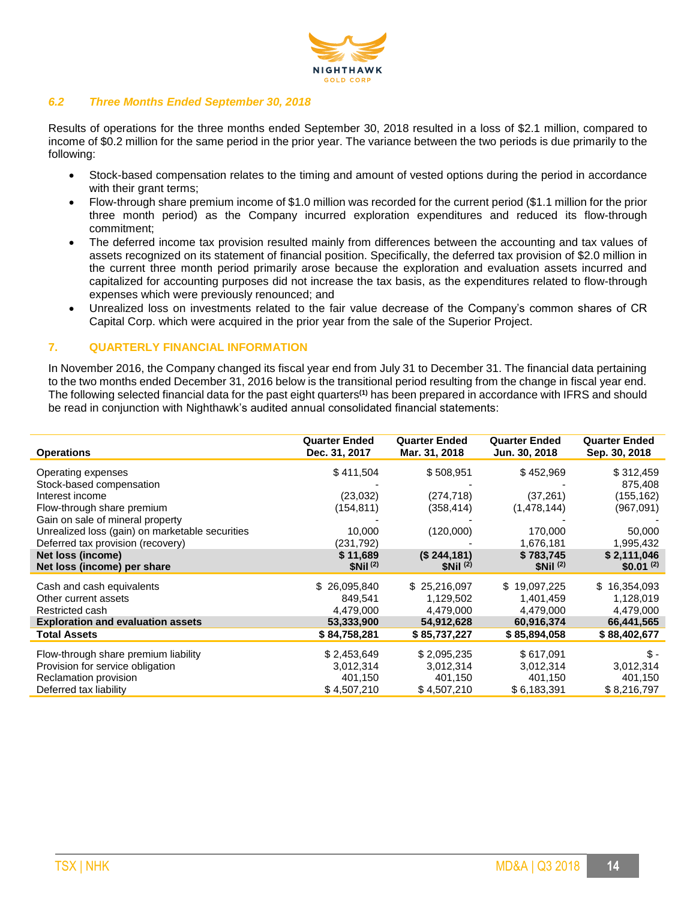

#### *6.2 Three Months Ended September 30, 2018*

Results of operations for the three months ended September 30, 2018 resulted in a loss of \$2.1 million, compared to income of \$0.2 million for the same period in the prior year. The variance between the two periods is due primarily to the following:

- Stock-based compensation relates to the timing and amount of vested options during the period in accordance with their grant terms;
- Flow-through share premium income of \$1.0 million was recorded for the current period (\$1.1 million for the prior three month period) as the Company incurred exploration expenditures and reduced its flow-through commitment;
- The deferred income tax provision resulted mainly from differences between the accounting and tax values of assets recognized on its statement of financial position. Specifically, the deferred tax provision of \$2.0 million in the current three month period primarily arose because the exploration and evaluation assets incurred and capitalized for accounting purposes did not increase the tax basis, as the expenditures related to flow-through expenses which were previously renounced; and
- Unrealized loss on investments related to the fair value decrease of the Company's common shares of CR Capital Corp. which were acquired in the prior year from the sale of the Superior Project.

## **7. QUARTERLY FINANCIAL INFORMATION**

In November 2016, the Company changed its fiscal year end from July 31 to December 31. The financial data pertaining to the two months ended December 31, 2016 below is the transitional period resulting from the change in fiscal year end. The following selected financial data for the past eight quarters**(1)** has been prepared in accordance with IFRS and should be read in conjunction with Nighthawk's audited annual consolidated financial statements:

| <b>Operations</b>                               | <b>Quarter Ended</b><br>Dec. 31, 2017 | <b>Quarter Ended</b><br>Mar. 31, 2018 | <b>Quarter Ended</b><br>Jun. 30, 2018 | <b>Quarter Ended</b><br>Sep. 30, 2018 |
|-------------------------------------------------|---------------------------------------|---------------------------------------|---------------------------------------|---------------------------------------|
| Operating expenses                              | \$411,504                             | \$508,951                             | \$452,969                             | \$312,459                             |
| Stock-based compensation                        |                                       |                                       |                                       | 875,408                               |
| Interest income                                 | (23,032)                              | (274, 718)                            | (37, 261)                             | (155, 162)                            |
| Flow-through share premium                      | (154, 811)                            | (358, 414)                            | (1,478,144)                           | (967,091)                             |
| Gain on sale of mineral property                |                                       |                                       |                                       |                                       |
| Unrealized loss (gain) on marketable securities | 10,000                                | (120,000)                             | 170,000                               | 50,000                                |
| Deferred tax provision (recovery)               | (231, 792)                            |                                       | 1,676,181                             | 1,995,432                             |
| Net loss (income)                               | \$11,689                              | $(S$ 244,181)                         | \$783,745                             | \$2,111,046                           |
| Net loss (income) per share                     | \$Nil <sup>(2)</sup>                  | \$Nil <sup>(2)</sup>                  | \$Nil <sup>(2)</sup>                  | $$0.01^{(2)}$$                        |
| Cash and cash equivalents                       | \$26,095,840                          | \$25,216,097                          | \$19,097,225                          | \$16,354,093                          |
| Other current assets                            | 849,541                               | 1,129,502                             | 1,401,459                             | 1,128,019                             |
| Restricted cash                                 | 4,479,000                             | 4,479,000                             | 4,479,000                             | 4,479,000                             |
| <b>Exploration and evaluation assets</b>        | 53,333,900                            | 54,912,628                            | 60,916,374                            | 66,441,565                            |
| <b>Total Assets</b>                             | \$84,758,281                          | \$85,737,227                          | \$85,894,058                          | \$88,402,677                          |
| Flow-through share premium liability            | \$2,453,649                           | \$2,095,235                           | \$617,091                             | \$-                                   |
| Provision for service obligation                | 3,012,314                             | 3,012,314                             | 3,012,314                             | 3,012,314                             |
| Reclamation provision                           | 401,150                               | 401,150                               | 401,150                               | 401,150                               |
| Deferred tax liability                          | \$4,507,210                           | \$4,507,210                           | \$6,183,391                           | \$8,216,797                           |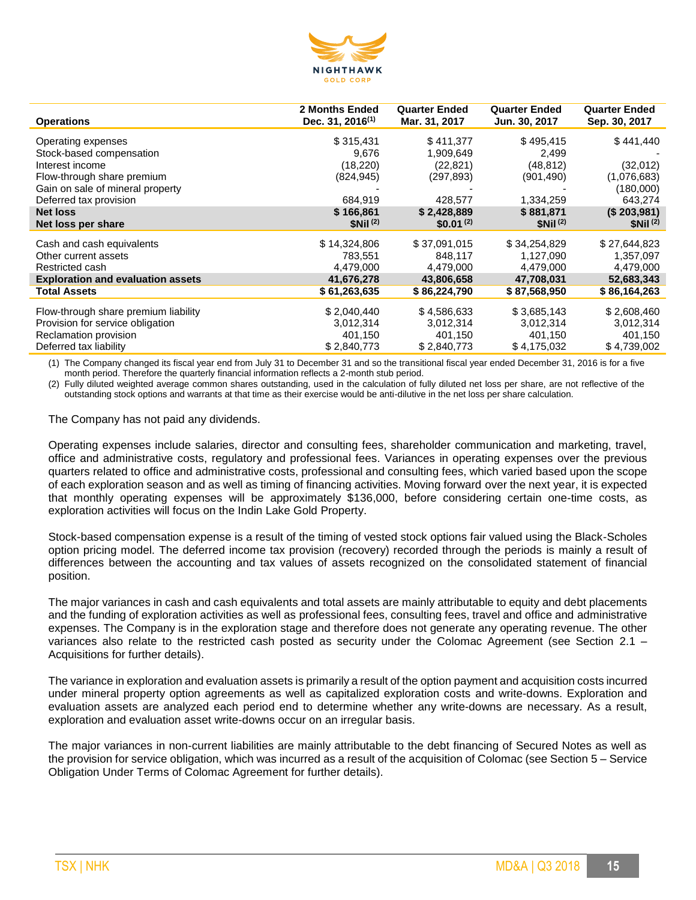

| <b>Operations</b>                        | 2 Months Ended<br>Dec. 31, $2016^{(1)}$ | <b>Quarter Ended</b><br>Mar. 31, 2017 | <b>Quarter Ended</b><br>Jun. 30, 2017 | <b>Quarter Ended</b><br>Sep. 30, 2017 |
|------------------------------------------|-----------------------------------------|---------------------------------------|---------------------------------------|---------------------------------------|
| Operating expenses                       | \$315,431                               | \$411,377                             | \$495,415                             | \$441,440                             |
| Stock-based compensation                 | 9,676                                   | 1,909,649                             | 2,499                                 |                                       |
| Interest income                          | (18, 220)                               | (22,821)                              | (48, 812)                             | (32,012)                              |
| Flow-through share premium               | (824, 945)                              | (297, 893)                            | (901,490)                             | (1,076,683)                           |
| Gain on sale of mineral property         |                                         |                                       |                                       | (180,000)                             |
| Deferred tax provision                   | 684,919                                 | 428,577                               | 1,334,259                             | 643,274                               |
| <b>Net loss</b>                          | \$166,861                               | \$2,428,889                           | \$881,871                             | (\$203,981)                           |
| Net loss per share                       | \$Nii <sup>(2)</sup>                    | $$0.01^{(2)}$$                        | \$Nii <sup>(2)</sup>                  | \$Nil <sup>(2)</sup>                  |
|                                          |                                         |                                       |                                       |                                       |
| Cash and cash equivalents                | \$14,324,806                            | \$37.091.015                          | \$34,254,829                          | \$27,644,823                          |
| Other current assets                     | 783,551                                 | 848,117                               | 1,127,090                             | 1,357,097                             |
| Restricted cash                          | 4,479,000                               | 4,479,000                             | 4,479,000                             | 4,479,000                             |
| <b>Exploration and evaluation assets</b> | 41,676,278                              | 43,806,658                            | 47,708,031                            | 52,683,343                            |
| <b>Total Assets</b>                      | \$61,263,635                            | \$86,224,790                          | \$87,568,950                          | \$86,164,263                          |
| Flow-through share premium liability     | \$2,040,440                             | \$4,586,633                           | \$3,685,143                           | \$2,608,460                           |
|                                          |                                         |                                       |                                       |                                       |
| Provision for service obligation         | 3,012,314                               | 3,012,314                             | 3,012,314                             | 3,012,314                             |
| Reclamation provision                    | 401,150                                 | 401,150                               | 401,150                               | 401,150                               |
| Deferred tax liability                   | \$2,840,773                             | \$2,840,773                           | \$4,175,032                           | \$4,739,002                           |

(1) The Company changed its fiscal year end from July 31 to December 31 and so the transitional fiscal year ended December 31, 2016 is for a five month period. Therefore the quarterly financial information reflects a 2-month stub period.

(2) Fully diluted weighted average common shares outstanding, used in the calculation of fully diluted net loss per share, are not reflective of the outstanding stock options and warrants at that time as their exercise would be anti-dilutive in the net loss per share calculation.

The Company has not paid any dividends.

Operating expenses include salaries, director and consulting fees, shareholder communication and marketing, travel, office and administrative costs, regulatory and professional fees. Variances in operating expenses over the previous quarters related to office and administrative costs, professional and consulting fees, which varied based upon the scope of each exploration season and as well as timing of financing activities. Moving forward over the next year, it is expected that monthly operating expenses will be approximately \$136,000, before considering certain one-time costs, as exploration activities will focus on the Indin Lake Gold Property.

Stock-based compensation expense is a result of the timing of vested stock options fair valued using the Black-Scholes option pricing model. The deferred income tax provision (recovery) recorded through the periods is mainly a result of differences between the accounting and tax values of assets recognized on the consolidated statement of financial position.

The major variances in cash and cash equivalents and total assets are mainly attributable to equity and debt placements and the funding of exploration activities as well as professional fees, consulting fees, travel and office and administrative expenses. The Company is in the exploration stage and therefore does not generate any operating revenue. The other variances also relate to the restricted cash posted as security under the Colomac Agreement (see Section 2.1 – Acquisitions for further details).

The variance in exploration and evaluation assets is primarily a result of the option payment and acquisition costs incurred under mineral property option agreements as well as capitalized exploration costs and write-downs. Exploration and evaluation assets are analyzed each period end to determine whether any write-downs are necessary. As a result, exploration and evaluation asset write-downs occur on an irregular basis.

The major variances in non-current liabilities are mainly attributable to the debt financing of Secured Notes as well as the provision for service obligation, which was incurred as a result of the acquisition of Colomac (see Section 5 – Service Obligation Under Terms of Colomac Agreement for further details).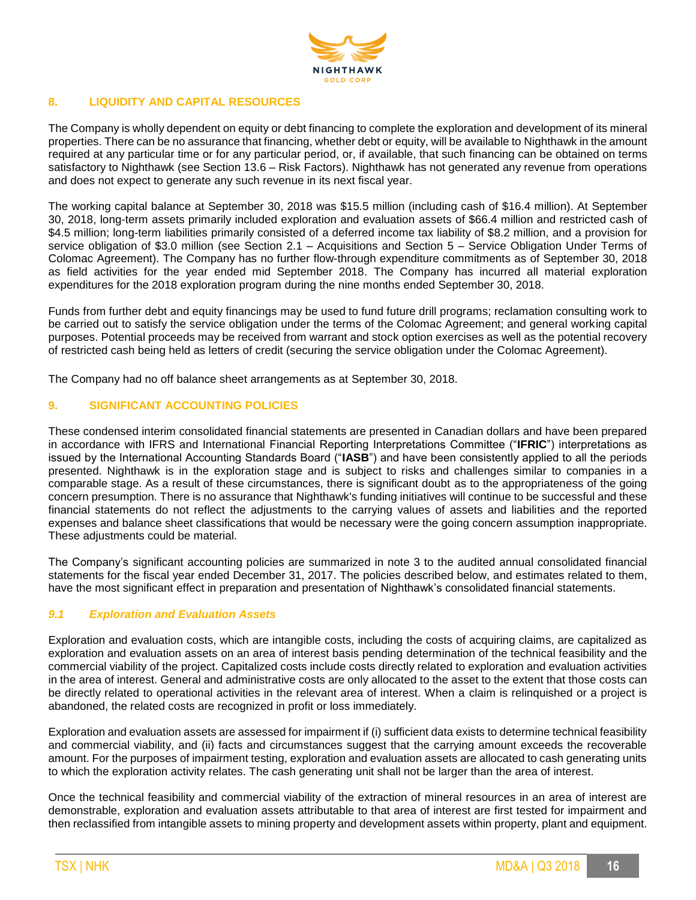

## **8. LIQUIDITY AND CAPITAL RESOURCES**

The Company is wholly dependent on equity or debt financing to complete the exploration and development of its mineral properties. There can be no assurance that financing, whether debt or equity, will be available to Nighthawk in the amount required at any particular time or for any particular period, or, if available, that such financing can be obtained on terms satisfactory to Nighthawk (see Section 13.6 – Risk Factors). Nighthawk has not generated any revenue from operations and does not expect to generate any such revenue in its next fiscal year.

The working capital balance at September 30, 2018 was \$15.5 million (including cash of \$16.4 million). At September 30, 2018, long-term assets primarily included exploration and evaluation assets of \$66.4 million and restricted cash of \$4.5 million; long-term liabilities primarily consisted of a deferred income tax liability of \$8.2 million, and a provision for service obligation of \$3.0 million (see Section 2.1 – Acquisitions and Section 5 – Service Obligation Under Terms of Colomac Agreement). The Company has no further flow-through expenditure commitments as of September 30, 2018 as field activities for the year ended mid September 2018. The Company has incurred all material exploration expenditures for the 2018 exploration program during the nine months ended September 30, 2018.

Funds from further debt and equity financings may be used to fund future drill programs; reclamation consulting work to be carried out to satisfy the service obligation under the terms of the Colomac Agreement; and general working capital purposes. Potential proceeds may be received from warrant and stock option exercises as well as the potential recovery of restricted cash being held as letters of credit (securing the service obligation under the Colomac Agreement).

The Company had no off balance sheet arrangements as at September 30, 2018.

## **9. SIGNIFICANT ACCOUNTING POLICIES**

These condensed interim consolidated financial statements are presented in Canadian dollars and have been prepared in accordance with IFRS and International Financial Reporting Interpretations Committee ("**IFRIC**") interpretations as issued by the International Accounting Standards Board ("**IASB**") and have been consistently applied to all the periods presented. Nighthawk is in the exploration stage and is subject to risks and challenges similar to companies in a comparable stage. As a result of these circumstances, there is significant doubt as to the appropriateness of the going concern presumption. There is no assurance that Nighthawk's funding initiatives will continue to be successful and these financial statements do not reflect the adjustments to the carrying values of assets and liabilities and the reported expenses and balance sheet classifications that would be necessary were the going concern assumption inappropriate. These adjustments could be material.

The Company's significant accounting policies are summarized in note 3 to the audited annual consolidated financial statements for the fiscal year ended December 31, 2017. The policies described below, and estimates related to them, have the most significant effect in preparation and presentation of Nighthawk's consolidated financial statements.

## *9.1 Exploration and Evaluation Assets*

Exploration and evaluation costs, which are intangible costs, including the costs of acquiring claims, are capitalized as exploration and evaluation assets on an area of interest basis pending determination of the technical feasibility and the commercial viability of the project. Capitalized costs include costs directly related to exploration and evaluation activities in the area of interest. General and administrative costs are only allocated to the asset to the extent that those costs can be directly related to operational activities in the relevant area of interest. When a claim is relinquished or a project is abandoned, the related costs are recognized in profit or loss immediately.

Exploration and evaluation assets are assessed for impairment if (i) sufficient data exists to determine technical feasibility and commercial viability, and (ii) facts and circumstances suggest that the carrying amount exceeds the recoverable amount. For the purposes of impairment testing, exploration and evaluation assets are allocated to cash generating units to which the exploration activity relates. The cash generating unit shall not be larger than the area of interest.

Once the technical feasibility and commercial viability of the extraction of mineral resources in an area of interest are demonstrable, exploration and evaluation assets attributable to that area of interest are first tested for impairment and then reclassified from intangible assets to mining property and development assets within property, plant and equipment.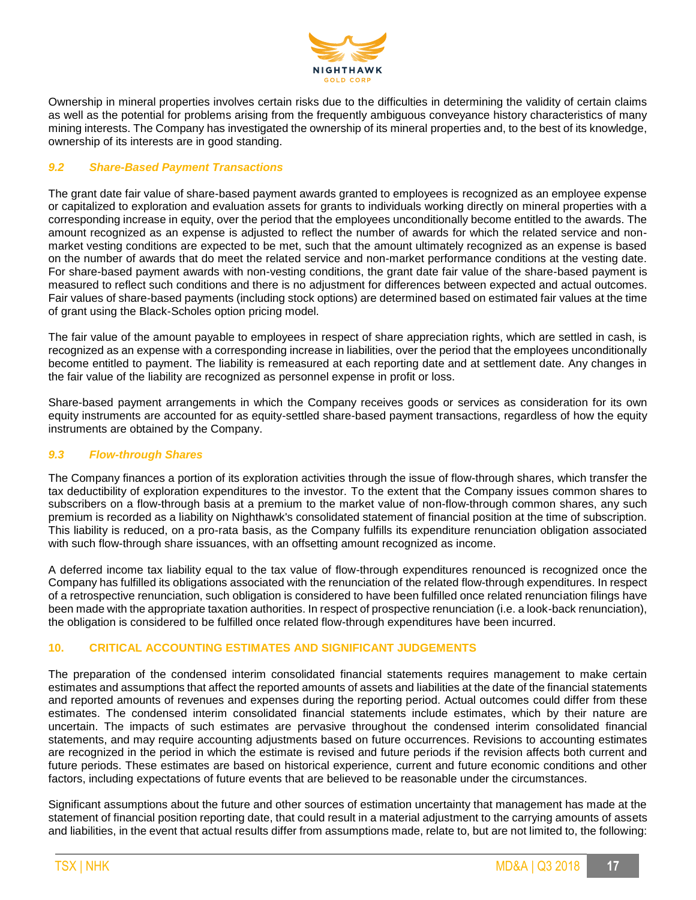

Ownership in mineral properties involves certain risks due to the difficulties in determining the validity of certain claims as well as the potential for problems arising from the frequently ambiguous conveyance history characteristics of many mining interests. The Company has investigated the ownership of its mineral properties and, to the best of its knowledge, ownership of its interests are in good standing.

## *9.2 Share-Based Payment Transactions*

The grant date fair value of share-based payment awards granted to employees is recognized as an employee expense or capitalized to exploration and evaluation assets for grants to individuals working directly on mineral properties with a corresponding increase in equity, over the period that the employees unconditionally become entitled to the awards. The amount recognized as an expense is adjusted to reflect the number of awards for which the related service and nonmarket vesting conditions are expected to be met, such that the amount ultimately recognized as an expense is based on the number of awards that do meet the related service and non-market performance conditions at the vesting date. For share-based payment awards with non-vesting conditions, the grant date fair value of the share-based payment is measured to reflect such conditions and there is no adjustment for differences between expected and actual outcomes. Fair values of share-based payments (including stock options) are determined based on estimated fair values at the time of grant using the Black-Scholes option pricing model.

The fair value of the amount payable to employees in respect of share appreciation rights, which are settled in cash, is recognized as an expense with a corresponding increase in liabilities, over the period that the employees unconditionally become entitled to payment. The liability is remeasured at each reporting date and at settlement date. Any changes in the fair value of the liability are recognized as personnel expense in profit or loss.

Share-based payment arrangements in which the Company receives goods or services as consideration for its own equity instruments are accounted for as equity-settled share-based payment transactions, regardless of how the equity instruments are obtained by the Company.

#### *9.3 Flow-through Shares*

The Company finances a portion of its exploration activities through the issue of flow-through shares, which transfer the tax deductibility of exploration expenditures to the investor. To the extent that the Company issues common shares to subscribers on a flow-through basis at a premium to the market value of non-flow-through common shares, any such premium is recorded as a liability on Nighthawk's consolidated statement of financial position at the time of subscription. This liability is reduced, on a pro-rata basis, as the Company fulfills its expenditure renunciation obligation associated with such flow-through share issuances, with an offsetting amount recognized as income.

A deferred income tax liability equal to the tax value of flow-through expenditures renounced is recognized once the Company has fulfilled its obligations associated with the renunciation of the related flow-through expenditures. In respect of a retrospective renunciation, such obligation is considered to have been fulfilled once related renunciation filings have been made with the appropriate taxation authorities. In respect of prospective renunciation (i.e. a look-back renunciation), the obligation is considered to be fulfilled once related flow-through expenditures have been incurred.

## **10. CRITICAL ACCOUNTING ESTIMATES AND SIGNIFICANT JUDGEMENTS**

The preparation of the condensed interim consolidated financial statements requires management to make certain estimates and assumptions that affect the reported amounts of assets and liabilities at the date of the financial statements and reported amounts of revenues and expenses during the reporting period. Actual outcomes could differ from these estimates. The condensed interim consolidated financial statements include estimates, which by their nature are uncertain. The impacts of such estimates are pervasive throughout the condensed interim consolidated financial statements, and may require accounting adjustments based on future occurrences. Revisions to accounting estimates are recognized in the period in which the estimate is revised and future periods if the revision affects both current and future periods. These estimates are based on historical experience, current and future economic conditions and other factors, including expectations of future events that are believed to be reasonable under the circumstances.

Significant assumptions about the future and other sources of estimation uncertainty that management has made at the statement of financial position reporting date, that could result in a material adjustment to the carrying amounts of assets and liabilities, in the event that actual results differ from assumptions made, relate to, but are not limited to, the following: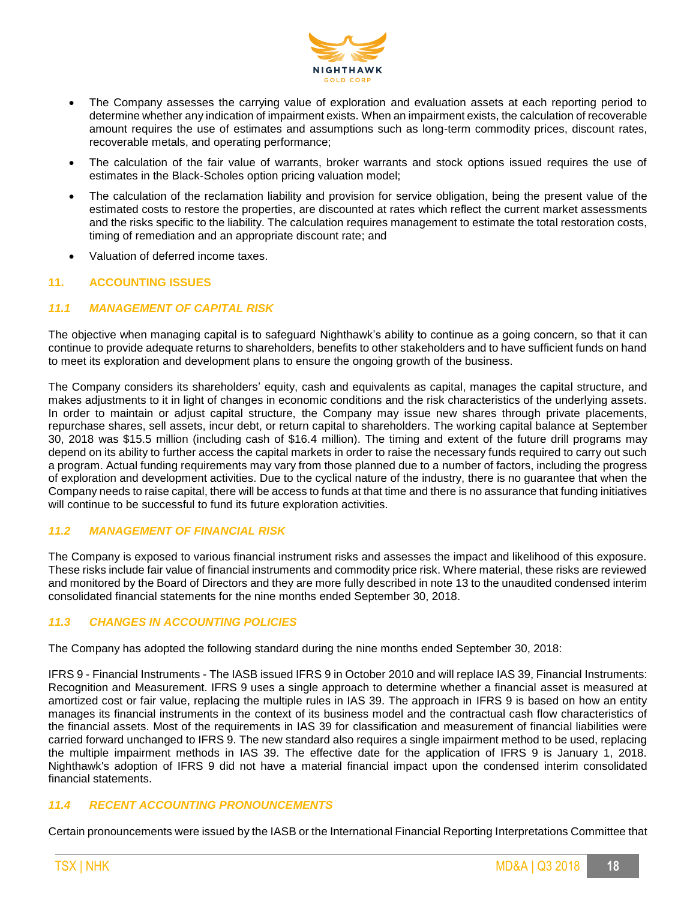

- The Company assesses the carrying value of exploration and evaluation assets at each reporting period to determine whether any indication of impairment exists. When an impairment exists, the calculation of recoverable amount requires the use of estimates and assumptions such as long-term commodity prices, discount rates, recoverable metals, and operating performance;
- The calculation of the fair value of warrants, broker warrants and stock options issued requires the use of estimates in the Black-Scholes option pricing valuation model;
- The calculation of the reclamation liability and provision for service obligation, being the present value of the estimated costs to restore the properties, are discounted at rates which reflect the current market assessments and the risks specific to the liability. The calculation requires management to estimate the total restoration costs, timing of remediation and an appropriate discount rate; and
- Valuation of deferred income taxes.

## **11. ACCOUNTING ISSUES**

## *11.1 MANAGEMENT OF CAPITAL RISK*

The objective when managing capital is to safeguard Nighthawk's ability to continue as a going concern, so that it can continue to provide adequate returns to shareholders, benefits to other stakeholders and to have sufficient funds on hand to meet its exploration and development plans to ensure the ongoing growth of the business.

The Company considers its shareholders' equity, cash and equivalents as capital, manages the capital structure, and makes adjustments to it in light of changes in economic conditions and the risk characteristics of the underlying assets. In order to maintain or adjust capital structure, the Company may issue new shares through private placements, repurchase shares, sell assets, incur debt, or return capital to shareholders. The working capital balance at September 30, 2018 was \$15.5 million (including cash of \$16.4 million). The timing and extent of the future drill programs may depend on its ability to further access the capital markets in order to raise the necessary funds required to carry out such a program. Actual funding requirements may vary from those planned due to a number of factors, including the progress of exploration and development activities. Due to the cyclical nature of the industry, there is no guarantee that when the Company needs to raise capital, there will be access to funds at that time and there is no assurance that funding initiatives will continue to be successful to fund its future exploration activities.

#### *11.2 MANAGEMENT OF FINANCIAL RISK*

The Company is exposed to various financial instrument risks and assesses the impact and likelihood of this exposure. These risks include fair value of financial instruments and commodity price risk. Where material, these risks are reviewed and monitored by the Board of Directors and they are more fully described in note 13 to the unaudited condensed interim consolidated financial statements for the nine months ended September 30, 2018.

## *11.3 CHANGES IN ACCOUNTING POLICIES*

The Company has adopted the following standard during the nine months ended September 30, 2018:

IFRS 9 - Financial Instruments - The IASB issued IFRS 9 in October 2010 and will replace IAS 39, Financial Instruments: Recognition and Measurement. IFRS 9 uses a single approach to determine whether a financial asset is measured at amortized cost or fair value, replacing the multiple rules in IAS 39. The approach in IFRS 9 is based on how an entity manages its financial instruments in the context of its business model and the contractual cash flow characteristics of the financial assets. Most of the requirements in IAS 39 for classification and measurement of financial liabilities were carried forward unchanged to IFRS 9. The new standard also requires a single impairment method to be used, replacing the multiple impairment methods in IAS 39. The effective date for the application of IFRS 9 is January 1, 2018. Nighthawk's adoption of IFRS 9 did not have a material financial impact upon the condensed interim consolidated financial statements.

## *11.4 RECENT ACCOUNTING PRONOUNCEMENTS*

Certain pronouncements were issued by the IASB or the International Financial Reporting Interpretations Committee that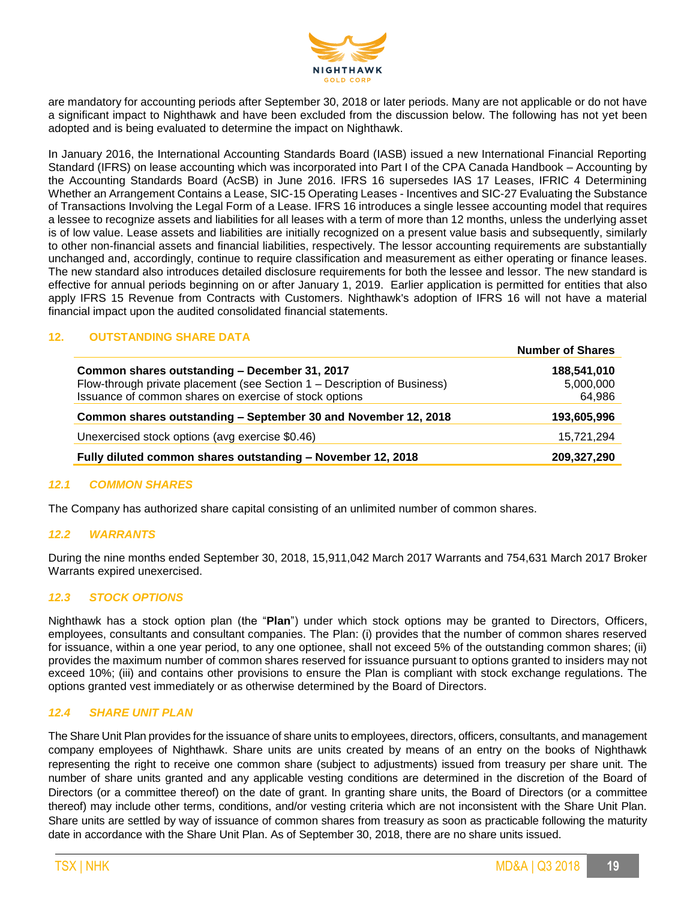

are mandatory for accounting periods after September 30, 2018 or later periods. Many are not applicable or do not have a significant impact to Nighthawk and have been excluded from the discussion below. The following has not yet been adopted and is being evaluated to determine the impact on Nighthawk.

In January 2016, the International Accounting Standards Board (IASB) issued a new International Financial Reporting Standard (IFRS) on lease accounting which was incorporated into Part I of the CPA Canada Handbook – Accounting by the Accounting Standards Board (AcSB) in June 2016. IFRS 16 supersedes IAS 17 Leases, IFRIC 4 Determining Whether an Arrangement Contains a Lease, SIC-15 Operating Leases - Incentives and SIC-27 Evaluating the Substance of Transactions Involving the Legal Form of a Lease. IFRS 16 introduces a single lessee accounting model that requires a lessee to recognize assets and liabilities for all leases with a term of more than 12 months, unless the underlying asset is of low value. Lease assets and liabilities are initially recognized on a present value basis and subsequently, similarly to other non-financial assets and financial liabilities, respectively. The lessor accounting requirements are substantially unchanged and, accordingly, continue to require classification and measurement as either operating or finance leases. The new standard also introduces detailed disclosure requirements for both the lessee and lessor. The new standard is effective for annual periods beginning on or after January 1, 2019. Earlier application is permitted for entities that also apply IFRS 15 Revenue from Contracts with Customers. Nighthawk's adoption of IFRS 16 will not have a material financial impact upon the audited consolidated financial statements.

# **12. OUTSTANDING SHARE DATA**

|                                                                          | <b>NUILIUSI OL JIIALES</b> |
|--------------------------------------------------------------------------|----------------------------|
| Common shares outstanding - December 31, 2017                            | 188,541,010                |
| Flow-through private placement (see Section 1 – Description of Business) | 5,000,000                  |
| Issuance of common shares on exercise of stock options                   | 64,986                     |
| Common shares outstanding - September 30 and November 12, 2018           | 193,605,996                |
| Unexercised stock options (avg exercise \$0.46)                          | 15,721,294                 |
| Fully diluted common shares outstanding - November 12, 2018              | 209,327,290                |

## *12.1 COMMON SHARES*

The Company has authorized share capital consisting of an unlimited number of common shares.

#### *12.2 WARRANTS*

During the nine months ended September 30, 2018, 15,911,042 March 2017 Warrants and 754,631 March 2017 Broker Warrants expired unexercised.

## *12.3 STOCK OPTIONS*

Nighthawk has a stock option plan (the "**Plan**") under which stock options may be granted to Directors, Officers, employees, consultants and consultant companies. The Plan: (i) provides that the number of common shares reserved for issuance, within a one year period, to any one optionee, shall not exceed 5% of the outstanding common shares; (ii) provides the maximum number of common shares reserved for issuance pursuant to options granted to insiders may not exceed 10%; (iii) and contains other provisions to ensure the Plan is compliant with stock exchange regulations. The options granted vest immediately or as otherwise determined by the Board of Directors.

## *12.4 SHARE UNIT PLAN*

The Share Unit Plan provides for the issuance of share units to employees, directors, officers, consultants, and management company employees of Nighthawk. Share units are units created by means of an entry on the books of Nighthawk representing the right to receive one common share (subject to adjustments) issued from treasury per share unit. The number of share units granted and any applicable vesting conditions are determined in the discretion of the Board of Directors (or a committee thereof) on the date of grant. In granting share units, the Board of Directors (or a committee thereof) may include other terms, conditions, and/or vesting criteria which are not inconsistent with the Share Unit Plan. Share units are settled by way of issuance of common shares from treasury as soon as practicable following the maturity date in accordance with the Share Unit Plan. As of September 30, 2018, there are no share units issued.

**Number of Shares**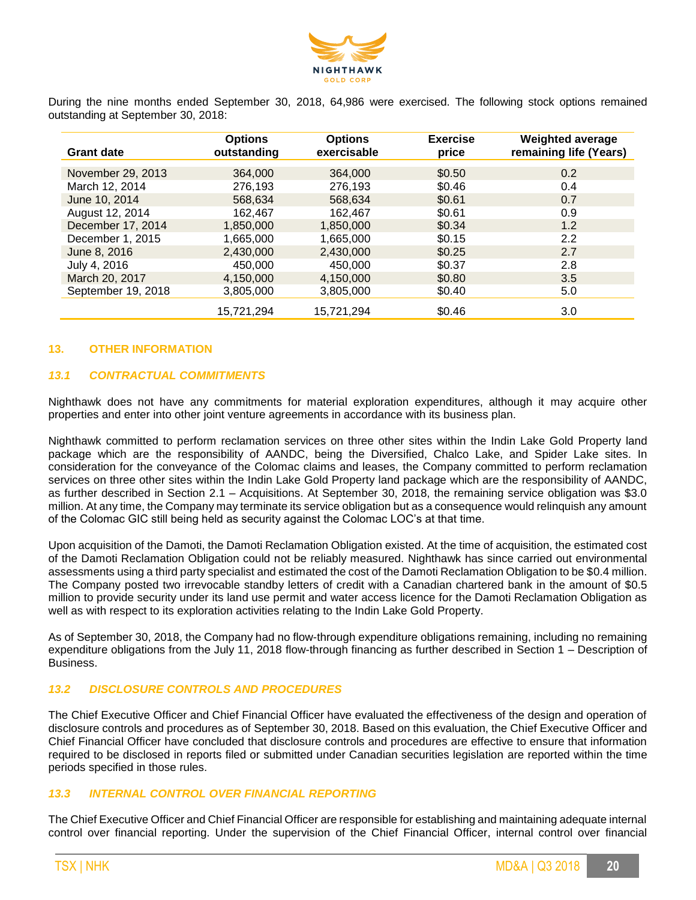

During the nine months ended September 30, 2018, 64,986 were exercised. The following stock options remained outstanding at September 30, 2018:

| <b>Grant date</b>  | <b>Options</b><br>outstanding | <b>Options</b><br>exercisable | <b>Exercise</b><br>price | <b>Weighted average</b><br>remaining life (Years) |
|--------------------|-------------------------------|-------------------------------|--------------------------|---------------------------------------------------|
|                    |                               |                               |                          |                                                   |
| November 29, 2013  | 364,000                       | 364,000                       | \$0.50                   | 0.2                                               |
| March 12, 2014     | 276.193                       | 276.193                       | \$0.46                   | 0.4                                               |
| June 10, 2014      | 568.634                       | 568.634                       | \$0.61                   | 0.7                                               |
| August 12, 2014    | 162.467                       | 162.467                       | \$0.61                   | 0.9                                               |
| December 17, 2014  | 1,850,000                     | 1.850.000                     | \$0.34                   | 1.2                                               |
| December 1, 2015   | 1,665,000                     | 1,665,000                     | \$0.15                   | 2.2                                               |
| June 8, 2016       | 2,430,000                     | 2,430,000                     | \$0.25                   | 2.7                                               |
| July 4, 2016       | 450,000                       | 450,000                       | \$0.37                   | 2.8                                               |
| March 20, 2017     | 4.150.000                     | 4.150.000                     | \$0.80                   | 3.5                                               |
| September 19, 2018 | 3.805.000                     | 3.805.000                     | \$0.40                   | 5.0                                               |
|                    | 15,721,294                    | 15,721,294                    | \$0.46                   | 3.0                                               |

#### **13. OTHER INFORMATION**

## *13.1 CONTRACTUAL COMMITMENTS*

Nighthawk does not have any commitments for material exploration expenditures, although it may acquire other properties and enter into other joint venture agreements in accordance with its business plan.

Nighthawk committed to perform reclamation services on three other sites within the Indin Lake Gold Property land package which are the responsibility of AANDC, being the Diversified, Chalco Lake, and Spider Lake sites. In consideration for the conveyance of the Colomac claims and leases, the Company committed to perform reclamation services on three other sites within the Indin Lake Gold Property land package which are the responsibility of AANDC, as further described in Section 2.1 – Acquisitions. At September 30, 2018, the remaining service obligation was \$3.0 million. At any time, the Company may terminate its service obligation but as a consequence would relinquish any amount of the Colomac GIC still being held as security against the Colomac LOC's at that time.

Upon acquisition of the Damoti, the Damoti Reclamation Obligation existed. At the time of acquisition, the estimated cost of the Damoti Reclamation Obligation could not be reliably measured. Nighthawk has since carried out environmental assessments using a third party specialist and estimated the cost of the Damoti Reclamation Obligation to be \$0.4 million. The Company posted two irrevocable standby letters of credit with a Canadian chartered bank in the amount of \$0.5 million to provide security under its land use permit and water access licence for the Damoti Reclamation Obligation as well as with respect to its exploration activities relating to the Indin Lake Gold Property.

As of September 30, 2018, the Company had no flow-through expenditure obligations remaining, including no remaining expenditure obligations from the July 11, 2018 flow-through financing as further described in Section 1 – Description of Business.

#### *13.2 DISCLOSURE CONTROLS AND PROCEDURES*

The Chief Executive Officer and Chief Financial Officer have evaluated the effectiveness of the design and operation of disclosure controls and procedures as of September 30, 2018. Based on this evaluation, the Chief Executive Officer and Chief Financial Officer have concluded that disclosure controls and procedures are effective to ensure that information required to be disclosed in reports filed or submitted under Canadian securities legislation are reported within the time periods specified in those rules.

## *13.3 INTERNAL CONTROL OVER FINANCIAL REPORTING*

The Chief Executive Officer and Chief Financial Officer are responsible for establishing and maintaining adequate internal control over financial reporting. Under the supervision of the Chief Financial Officer, internal control over financial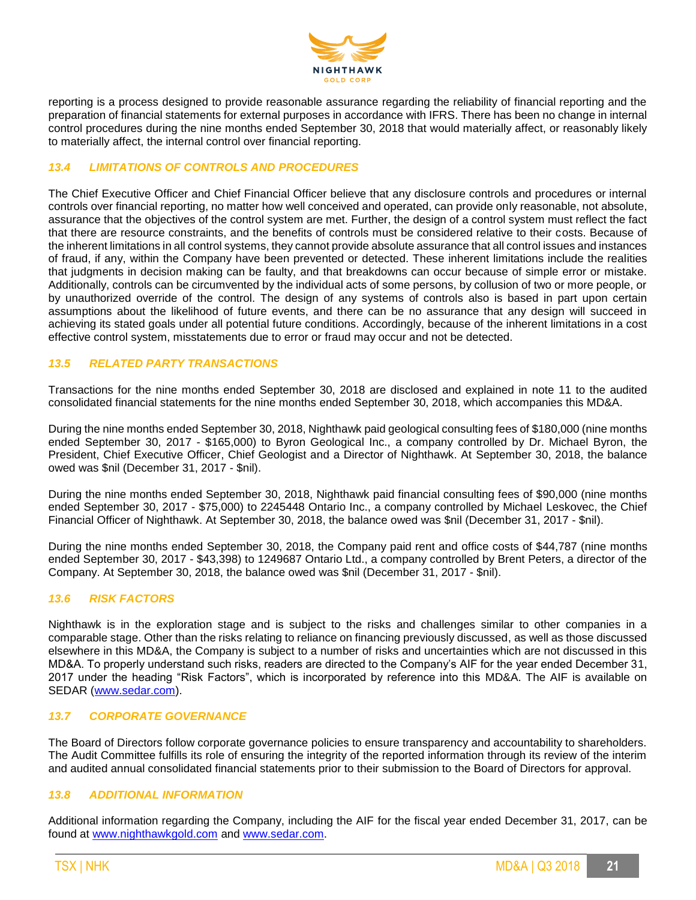

reporting is a process designed to provide reasonable assurance regarding the reliability of financial reporting and the preparation of financial statements for external purposes in accordance with IFRS. There has been no change in internal control procedures during the nine months ended September 30, 2018 that would materially affect, or reasonably likely to materially affect, the internal control over financial reporting.

## *13.4 LIMITATIONS OF CONTROLS AND PROCEDURES*

The Chief Executive Officer and Chief Financial Officer believe that any disclosure controls and procedures or internal controls over financial reporting, no matter how well conceived and operated, can provide only reasonable, not absolute, assurance that the objectives of the control system are met. Further, the design of a control system must reflect the fact that there are resource constraints, and the benefits of controls must be considered relative to their costs. Because of the inherent limitations in all control systems, they cannot provide absolute assurance that all control issues and instances of fraud, if any, within the Company have been prevented or detected. These inherent limitations include the realities that judgments in decision making can be faulty, and that breakdowns can occur because of simple error or mistake. Additionally, controls can be circumvented by the individual acts of some persons, by collusion of two or more people, or by unauthorized override of the control. The design of any systems of controls also is based in part upon certain assumptions about the likelihood of future events, and there can be no assurance that any design will succeed in achieving its stated goals under all potential future conditions. Accordingly, because of the inherent limitations in a cost effective control system, misstatements due to error or fraud may occur and not be detected.

## *13.5 RELATED PARTY TRANSACTIONS*

Transactions for the nine months ended September 30, 2018 are disclosed and explained in note 11 to the audited consolidated financial statements for the nine months ended September 30, 2018, which accompanies this MD&A.

During the nine months ended September 30, 2018, Nighthawk paid geological consulting fees of \$180,000 (nine months ended September 30, 2017 - \$165,000) to Byron Geological Inc., a company controlled by Dr. Michael Byron, the President, Chief Executive Officer, Chief Geologist and a Director of Nighthawk. At September 30, 2018, the balance owed was \$nil (December 31, 2017 - \$nil).

During the nine months ended September 30, 2018, Nighthawk paid financial consulting fees of \$90,000 (nine months ended September 30, 2017 - \$75,000) to 2245448 Ontario Inc., a company controlled by Michael Leskovec, the Chief Financial Officer of Nighthawk. At September 30, 2018, the balance owed was \$nil (December 31, 2017 - \$nil).

During the nine months ended September 30, 2018, the Company paid rent and office costs of \$44,787 (nine months ended September 30, 2017 - \$43,398) to 1249687 Ontario Ltd., a company controlled by Brent Peters, a director of the Company. At September 30, 2018, the balance owed was \$nil (December 31, 2017 - \$nil).

## *13.6 RISK FACTORS*

Nighthawk is in the exploration stage and is subject to the risks and challenges similar to other companies in a comparable stage. Other than the risks relating to reliance on financing previously discussed, as well as those discussed elsewhere in this MD&A, the Company is subject to a number of risks and uncertainties which are not discussed in this MD&A. To properly understand such risks, readers are directed to the Company's AIF for the year ended December 31, 2017 under the heading "Risk Factors", which is incorporated by reference into this MD&A. The AIF is available on SEDAR [\(www.sedar.com\)](http://www.sedar.com/).

#### *13.7 CORPORATE GOVERNANCE*

The Board of Directors follow corporate governance policies to ensure transparency and accountability to shareholders. The Audit Committee fulfills its role of ensuring the integrity of the reported information through its review of the interim and audited annual consolidated financial statements prior to their submission to the Board of Directors for approval.

#### *13.8 ADDITIONAL INFORMATION*

Additional information regarding the Company, including the AIF for the fiscal year ended December 31, 2017, can be found at [www.nighthawkgold.com](http://www.nighthawkgold.com/) and [www.sedar.com.](http://www.sedar.com/)